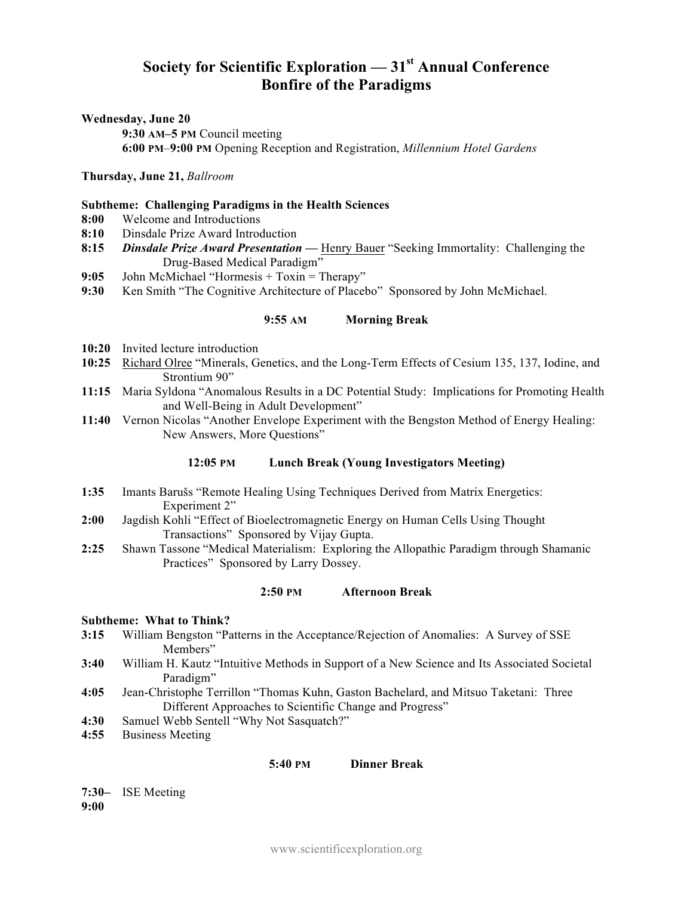# **Society for Scientific Exploration — 31st Annual Conference Bonfire of the Paradigms**

#### **Wednesday, June 20**

**9:30 AM–5 PM** Council meeting **6:00 PM**–**9:00 PM** Opening Reception and Registration, *Millennium Hotel Gardens*

#### **Thursday, June 21,** *Ballroom*

#### **Subtheme: Challenging Paradigms in the Health Sciences**

- **8:00** Welcome and Introductions
- **8:10** Dinsdale Prize Award Introduction
- **8:15** *Dinsdale Prize Award Presentation* **—** Henry Bauer "Seeking Immortality: Challenging the Drug-Based Medical Paradigm"
- **9:05** John McMichael "Hormesis + Toxin = Therapy"
- **9:30** Ken Smith "The Cognitive Architecture of Placebo" Sponsored by John McMichael.

#### **9:55 AM Morning Break**

- **10:20** Invited lecture introduction
- **10:25** Richard Olree "Minerals, Genetics, and the Long-Term Effects of Cesium 135, 137, Iodine, and Strontium 90"
- **11:15** Maria Syldona "Anomalous Results in a DC Potential Study: Implications for Promoting Health and Well-Being in Adult Development"
- **11:40** Vernon Nicolas "Another Envelope Experiment with the Bengston Method of Energy Healing: New Answers, More Questions"

#### **12:05 PM Lunch Break (Young Investigators Meeting)**

- **1:35** Imants Barušs "Remote Healing Using Techniques Derived from Matrix Energetics: Experiment 2"
- **2:00** Jagdish Kohli "Effect of Bioelectromagnetic Energy on Human Cells Using Thought Transactions" Sponsored by Vijay Gupta.
- **2:25** Shawn Tassone "Medical Materialism: Exploring the Allopathic Paradigm through Shamanic Practices" Sponsored by Larry Dossey.

#### **2:50 PM Afternoon Break**

#### **Subtheme: What to Think?**

- **3:15** William Bengston "Patterns in the Acceptance/Rejection of Anomalies: A Survey of SSE Members"
- **3:40** William H. Kautz "Intuitive Methods in Support of a New Science and Its Associated Societal Paradigm"
- **4:05** Jean-Christophe Terrillon "Thomas Kuhn, Gaston Bachelard, and Mitsuo Taketani: Three Different Approaches to Scientific Change and Progress"
- **4:30** Samuel Webb Sentell "Why Not Sasquatch?"
- **4:55** Business Meeting

#### **5:40 PM Dinner Break**

#### **7:30–** ISE Meeting **9:00**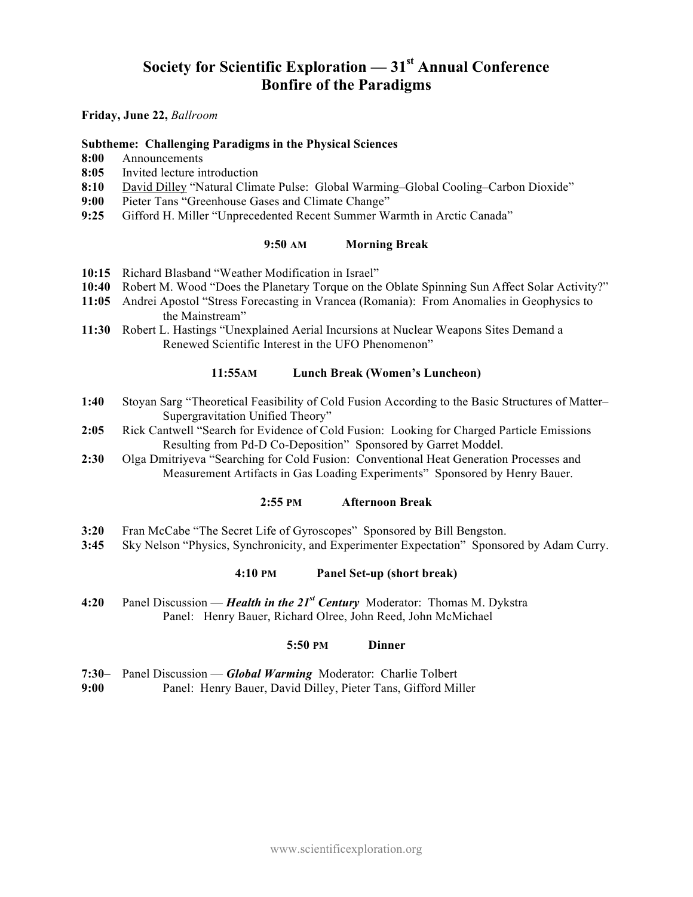# **Society for Scientific Exploration — 31st Annual Conference Bonfire of the Paradigms**

**Friday, June 22,** *Ballroom*

#### **Subtheme: Challenging Paradigms in the Physical Sciences**

- **8:00** Announcements
- **8:05** Invited lecture introduction
- **8:10** David Dilley "Natural Climate Pulse: Global Warming–Global Cooling–Carbon Dioxide"
- **9:00** Pieter Tans "Greenhouse Gases and Climate Change"
- **9:25** Gifford H. Miller "Unprecedented Recent Summer Warmth in Arctic Canada"

#### **9:50 AM Morning Break**

- **10:15** Richard Blasband "Weather Modification in Israel"
- **10:40** Robert M. Wood "Does the Planetary Torque on the Oblate Spinning Sun Affect Solar Activity?"
- **11:05** Andrei Apostol "Stress Forecasting in Vrancea (Romania): From Anomalies in Geophysics to the Mainstream"
- **11:30** Robert L. Hastings "Unexplained Aerial Incursions at Nuclear Weapons Sites Demand a Renewed Scientific Interest in the UFO Phenomenon"

#### **11:55AM Lunch Break (Women's Luncheon)**

- **1:40** Stoyan Sarg "Theoretical Feasibility of Cold Fusion According to the Basic Structures of Matter– Supergravitation Unified Theory"
- **2:05** Rick Cantwell "Search for Evidence of Cold Fusion: Looking for Charged Particle Emissions Resulting from Pd-D Co-Deposition" Sponsored by Garret Moddel.
- **2:30** Olga Dmitriyeva "Searching for Cold Fusion: Conventional Heat Generation Processes and Measurement Artifacts in Gas Loading Experiments" Sponsored by Henry Bauer.

#### **2:55 PM Afternoon Break**

- **3:20** Fran McCabe "The Secret Life of Gyroscopes" Sponsored by Bill Bengston.
- **3:45** Sky Nelson "Physics, Synchronicity, and Experimenter Expectation" Sponsored by Adam Curry.

#### **4:10 PM Panel Set-up (short break)**

**4:20** Panel Discussion — *Health in the 21st Century* Moderator: Thomas M. Dykstra Panel: Henry Bauer, Richard Olree, John Reed, John McMichael

#### **5:50 PM Dinner**

- **7:30–** Panel Discussion *Global Warming* Moderator: Charlie Tolbert
- **9:00** Panel: Henry Bauer, David Dilley, Pieter Tans, Gifford Miller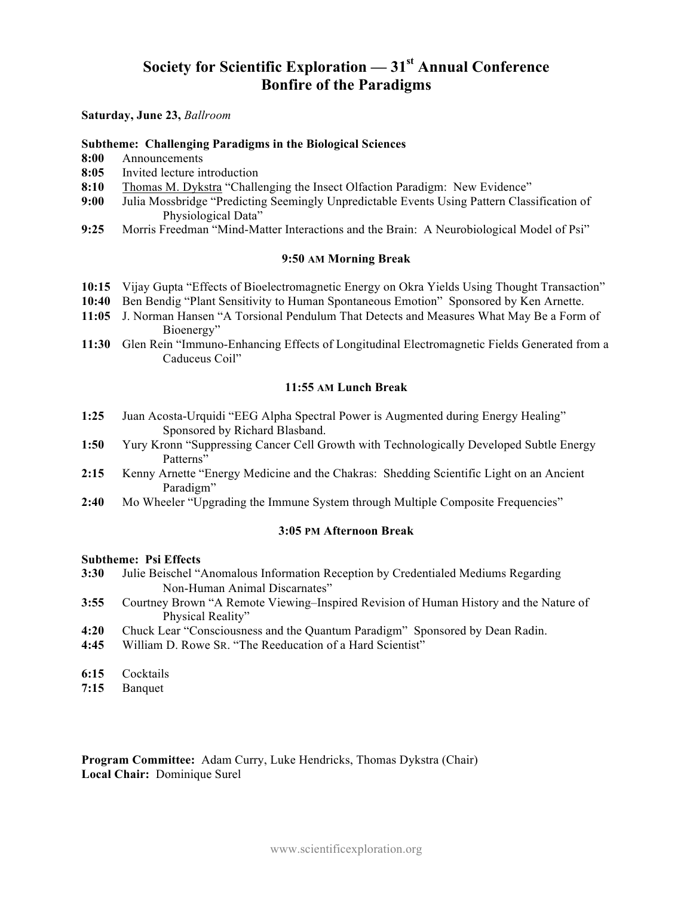# **Society for Scientific Exploration — 31st Annual Conference Bonfire of the Paradigms**

#### **Saturday, June 23,** *Ballroom*

#### **Subtheme: Challenging Paradigms in the Biological Sciences**

- **8:00** Announcements
- **8:05** Invited lecture introduction
- **8:10** Thomas M. Dykstra "Challenging the Insect Olfaction Paradigm: New Evidence"
- **9:00** Julia Mossbridge "Predicting Seemingly Unpredictable Events Using Pattern Classification of Physiological Data"
- **9:25** Morris Freedman "Mind-Matter Interactions and the Brain: A Neurobiological Model of Psi"

#### **9:50 AM Morning Break**

- **10:15** Vijay Gupta "Effects of Bioelectromagnetic Energy on Okra Yields Using Thought Transaction"
- **10:40** Ben Bendig "Plant Sensitivity to Human Spontaneous Emotion" Sponsored by Ken Arnette.
- **11:05** J. Norman Hansen "A Torsional Pendulum That Detects and Measures What May Be a Form of Bioenergy"
- **11:30** Glen Rein "Immuno-Enhancing Effects of Longitudinal Electromagnetic Fields Generated from a Caduceus Coil"

#### **11:55 AM Lunch Break**

- **1:25** Juan Acosta-Urquidi "EEG Alpha Spectral Power is Augmented during Energy Healing" Sponsored by Richard Blasband.
- **1:50** Yury Kronn "Suppressing Cancer Cell Growth with Technologically Developed Subtle Energy Patterns"
- **2:15** Kenny Arnette "Energy Medicine and the Chakras: Shedding Scientific Light on an Ancient Paradigm"
- **2:40** Mo Wheeler "Upgrading the Immune System through Multiple Composite Frequencies"

#### **3:05 PM Afternoon Break**

#### **Subtheme: Psi Effects**

- **3:30** Julie Beischel "Anomalous Information Reception by Credentialed Mediums Regarding Non-Human Animal Discarnates"
- **3:55** Courtney Brown "A Remote Viewing–Inspired Revision of Human History and the Nature of Physical Reality"
- **4:20** Chuck Lear "Consciousness and the Quantum Paradigm" Sponsored by Dean Radin.
- **4:45** William D. Rowe SR. "The Reeducation of a Hard Scientist"
- **6:15** Cocktails
- **7:15** Banquet

**Program Committee:** Adam Curry, Luke Hendricks, Thomas Dykstra (Chair) **Local Chair:** Dominique Surel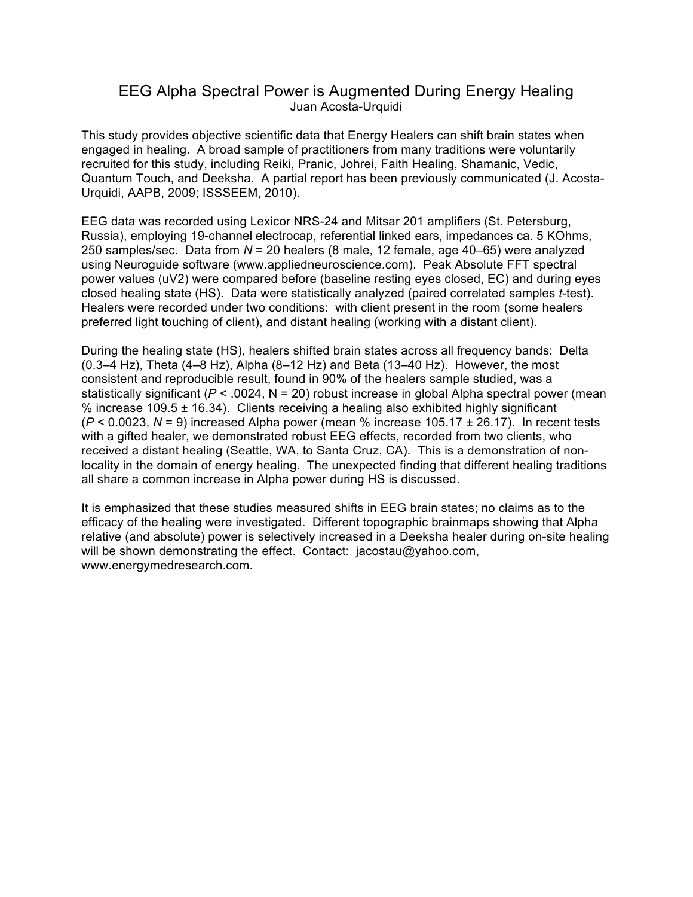## EEG Alpha Spectral Power is Augmented During Energy Healing Juan Acosta-Urquidi

This study provides objective scientific data that Energy Healers can shift brain states when engaged in healing. A broad sample of practitioners from many traditions were voluntarily recruited for this study, including Reiki, Pranic, Johrei, Faith Healing, Shamanic, Vedic, Quantum Touch, and Deeksha. A partial report has been previously communicated (J. Acosta-Urquidi, AAPB, 2009; ISSSEEM, 2010).

EEG data was recorded using Lexicor NRS-24 and Mitsar 201 amplifiers (St. Petersburg, Russia), employing 19-channel electrocap, referential linked ears, impedances ca. 5 KOhms, 250 samples/sec. Data from *N* = 20 healers (8 male, 12 female, age 40–65) were analyzed using Neuroguide software (www.appliedneuroscience.com). Peak Absolute FFT spectral power values (uV2) were compared before (baseline resting eyes closed, EC) and during eyes closed healing state (HS). Data were statistically analyzed (paired correlated samples *t*-test). Healers were recorded under two conditions: with client present in the room (some healers preferred light touching of client), and distant healing (working with a distant client).

During the healing state (HS), healers shifted brain states across all frequency bands: Delta (0.3–4 Hz), Theta (4–8 Hz), Alpha (8–12 Hz) and Beta (13–40 Hz). However, the most consistent and reproducible result, found in 90% of the healers sample studied, was a statistically significant ( $P < 0.0024$ ,  $N = 20$ ) robust increase in global Alpha spectral power (mean % increase 109.5  $\pm$  16.34). Clients receiving a healing also exhibited highly significant (*P* < 0.0023, *N* = 9) increased Alpha power (mean % increase 105.17 ± 26.17). In recent tests with a gifted healer, we demonstrated robust EEG effects, recorded from two clients, who received a distant healing (Seattle, WA, to Santa Cruz, CA). This is a demonstration of nonlocality in the domain of energy healing. The unexpected finding that different healing traditions all share a common increase in Alpha power during HS is discussed.

It is emphasized that these studies measured shifts in EEG brain states; no claims as to the efficacy of the healing were investigated. Different topographic brainmaps showing that Alpha relative (and absolute) power is selectively increased in a Deeksha healer during on-site healing will be shown demonstrating the effect. Contact: jacostau@yahoo.com, www.energymedresearch.com.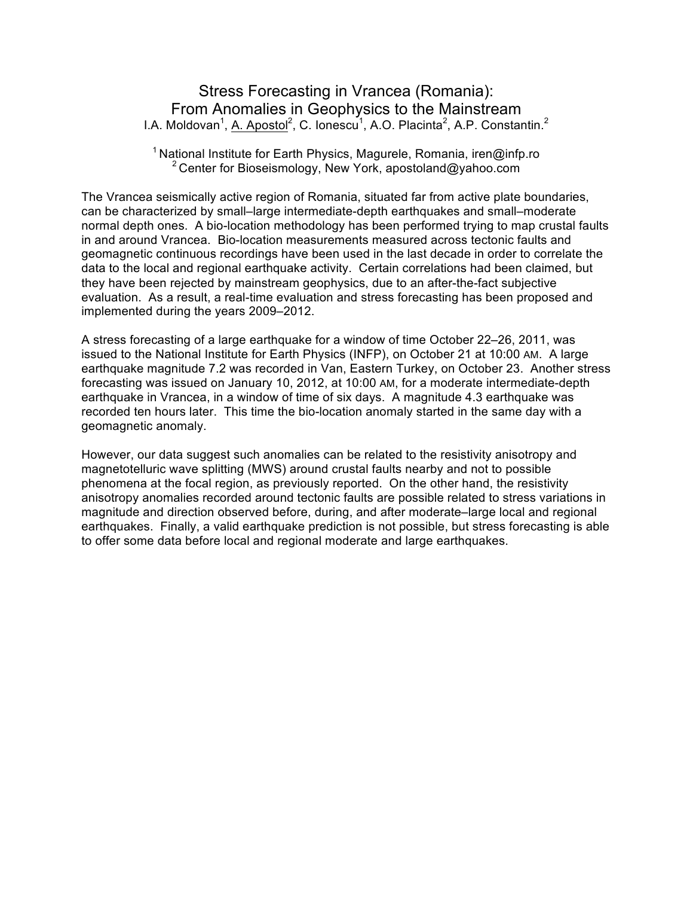# Stress Forecasting in Vrancea (Romania): From Anomalies in Geophysics to the Mainstream I.A. Moldovan<sup>1</sup>, A. Apostol<sup>2</sup>, C. Ionescu<sup>1</sup>, A.O. Placinta<sup>2</sup>, A.P. Constantin.<sup>2</sup>

### <sup>1</sup> National Institute for Earth Physics, Magurele, Romania, iren@infp.ro <sup>2</sup> Center for Bioseismology, New York, apostoland@yahoo.com

The Vrancea seismically active region of Romania, situated far from active plate boundaries, can be characterized by small–large intermediate-depth earthquakes and small–moderate normal depth ones. A bio-location methodology has been performed trying to map crustal faults in and around Vrancea. Bio-location measurements measured across tectonic faults and geomagnetic continuous recordings have been used in the last decade in order to correlate the data to the local and regional earthquake activity. Certain correlations had been claimed, but they have been rejected by mainstream geophysics, due to an after-the-fact subjective evaluation. As a result, a real-time evaluation and stress forecasting has been proposed and implemented during the years 2009–2012.

A stress forecasting of a large earthquake for a window of time October 22–26, 2011, was issued to the National Institute for Earth Physics (INFP), on October 21 at 10:00 AM. A large earthquake magnitude 7.2 was recorded in Van, Eastern Turkey, on October 23. Another stress forecasting was issued on January 10, 2012, at 10:00 AM, for a moderate intermediate-depth earthquake in Vrancea, in a window of time of six days. A magnitude 4.3 earthquake was recorded ten hours later. This time the bio-location anomaly started in the same day with a geomagnetic anomaly.

However, our data suggest such anomalies can be related to the resistivity anisotropy and magnetotelluric wave splitting (MWS) around crustal faults nearby and not to possible phenomena at the focal region, as previously reported. On the other hand, the resistivity anisotropy anomalies recorded around tectonic faults are possible related to stress variations in magnitude and direction observed before, during, and after moderate–large local and regional earthquakes. Finally, a valid earthquake prediction is not possible, but stress forecasting is able to offer some data before local and regional moderate and large earthquakes.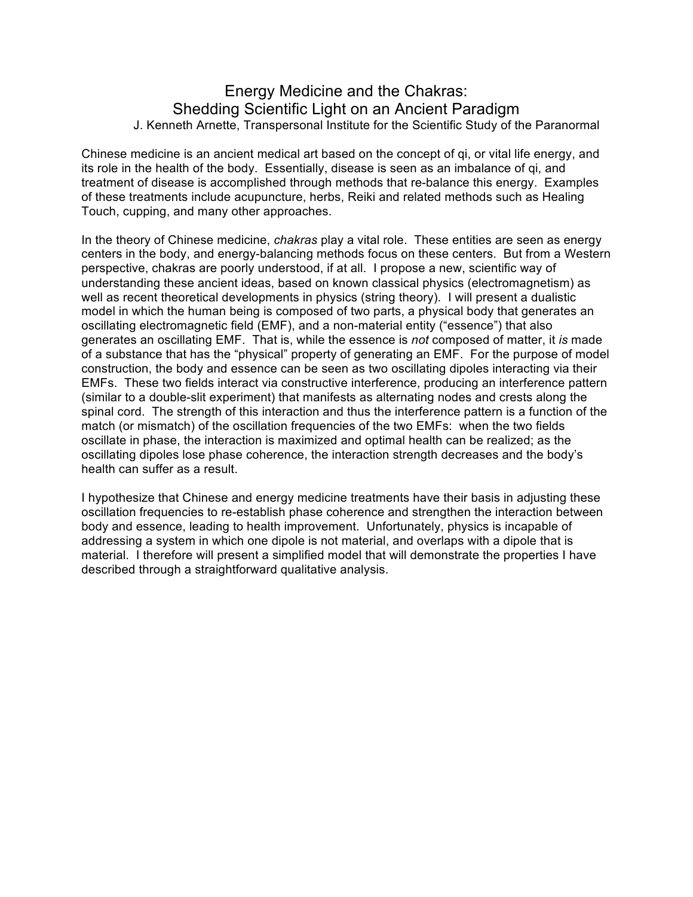## Energy Medicine and the Chakras: Shedding Scientific Light on an Ancient Paradigm J. Kenneth Arnette, Transpersonal Institute for the Scientific Study of the Paranormal

Chinese medicine is an ancient medical art based on the concept of qi, or vital life energy, and its role in the health of the body. Essentially, disease is seen as an imbalance of qi, and treatment of disease is accomplished through methods that re-balance this energy. Examples of these treatments include acupuncture, herbs, Reiki and related methods such as Healing Touch, cupping, and many other approaches.

In the theory of Chinese medicine, *chakras* play a vital role. These entities are seen as energy centers in the body, and energy-balancing methods focus on these centers. But from a Western perspective, chakras are poorly understood, if at all. I propose a new, scientific way of understanding these ancient ideas, based on known classical physics (electromagnetism) as well as recent theoretical developments in physics (string theory). I will present a dualistic model in which the human being is composed of two parts, a physical body that generates an oscillating electromagnetic field (EMF), and a non-material entity ("essence") that also generates an oscillating EMF. That is, while the essence is *not* composed of matter, it *is* made of a substance that has the "physical" property of generating an EMF. For the purpose of model construction, the body and essence can be seen as two oscillating dipoles interacting via their EMFs. These two fields interact via constructive interference, producing an interference pattern (similar to a double-slit experiment) that manifests as alternating nodes and crests along the spinal cord. The strength of this interaction and thus the interference pattern is a function of the match (or mismatch) of the oscillation frequencies of the two EMFs: when the two fields oscillate in phase, the interaction is maximized and optimal health can be realized; as the oscillating dipoles lose phase coherence, the interaction strength decreases and the body's health can suffer as a result.

I hypothesize that Chinese and energy medicine treatments have their basis in adjusting these oscillation frequencies to re-establish phase coherence and strengthen the interaction between body and essence, leading to health improvement. Unfortunately, physics is incapable of addressing a system in which one dipole is not material, and overlaps with a dipole that is material. I therefore will present a simplified model that will demonstrate the properties I have described through a straightforward qualitative analysis.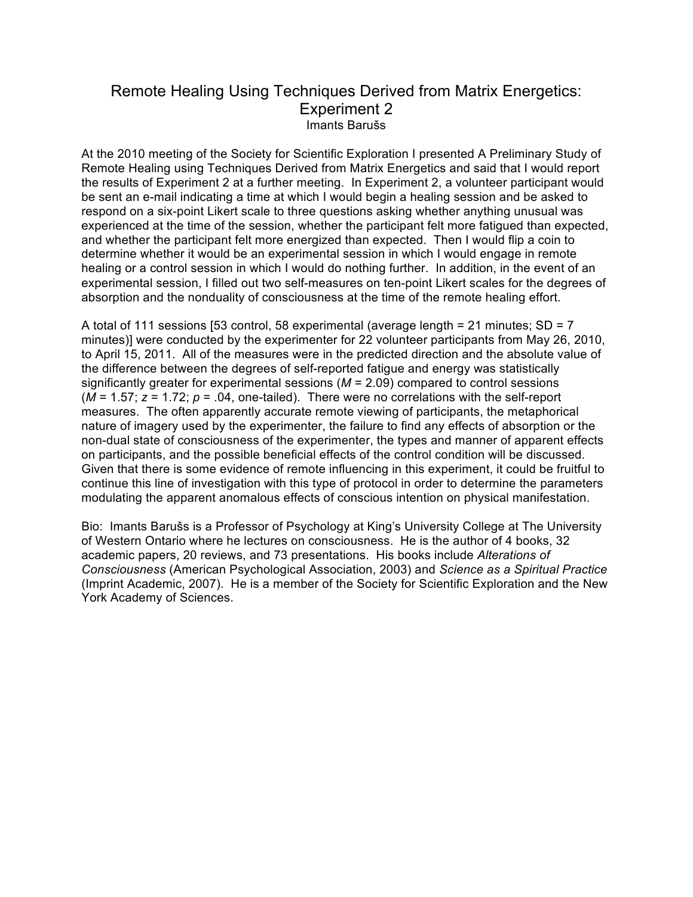## Remote Healing Using Techniques Derived from Matrix Energetics: Experiment 2 Imants Barušs

At the 2010 meeting of the Society for Scientific Exploration I presented A Preliminary Study of Remote Healing using Techniques Derived from Matrix Energetics and said that I would report the results of Experiment 2 at a further meeting. In Experiment 2, a volunteer participant would be sent an e-mail indicating a time at which I would begin a healing session and be asked to respond on a six-point Likert scale to three questions asking whether anything unusual was experienced at the time of the session, whether the participant felt more fatigued than expected, and whether the participant felt more energized than expected. Then I would flip a coin to determine whether it would be an experimental session in which I would engage in remote healing or a control session in which I would do nothing further. In addition, in the event of an experimental session, I filled out two self-measures on ten-point Likert scales for the degrees of absorption and the nonduality of consciousness at the time of the remote healing effort.

A total of 111 sessions [53 control, 58 experimental (average length = 21 minutes;  $SD = 7$ ) minutes)] were conducted by the experimenter for 22 volunteer participants from May 26, 2010, to April 15, 2011. All of the measures were in the predicted direction and the absolute value of the difference between the degrees of self-reported fatigue and energy was statistically significantly greater for experimental sessions (*M* = 2.09) compared to control sessions  $(M = 1.57; z = 1.72; p = .04$ , one-tailed). There were no correlations with the self-report measures. The often apparently accurate remote viewing of participants, the metaphorical nature of imagery used by the experimenter, the failure to find any effects of absorption or the non-dual state of consciousness of the experimenter, the types and manner of apparent effects on participants, and the possible beneficial effects of the control condition will be discussed. Given that there is some evidence of remote influencing in this experiment, it could be fruitful to continue this line of investigation with this type of protocol in order to determine the parameters modulating the apparent anomalous effects of conscious intention on physical manifestation.

Bio: Imants Barušs is a Professor of Psychology at King's University College at The University of Western Ontario where he lectures on consciousness. He is the author of 4 books, 32 academic papers, 20 reviews, and 73 presentations. His books include *Alterations of Consciousness* (American Psychological Association, 2003) and *Science as a Spiritual Practice* (Imprint Academic, 2007). He is a member of the Society for Scientific Exploration and the New York Academy of Sciences.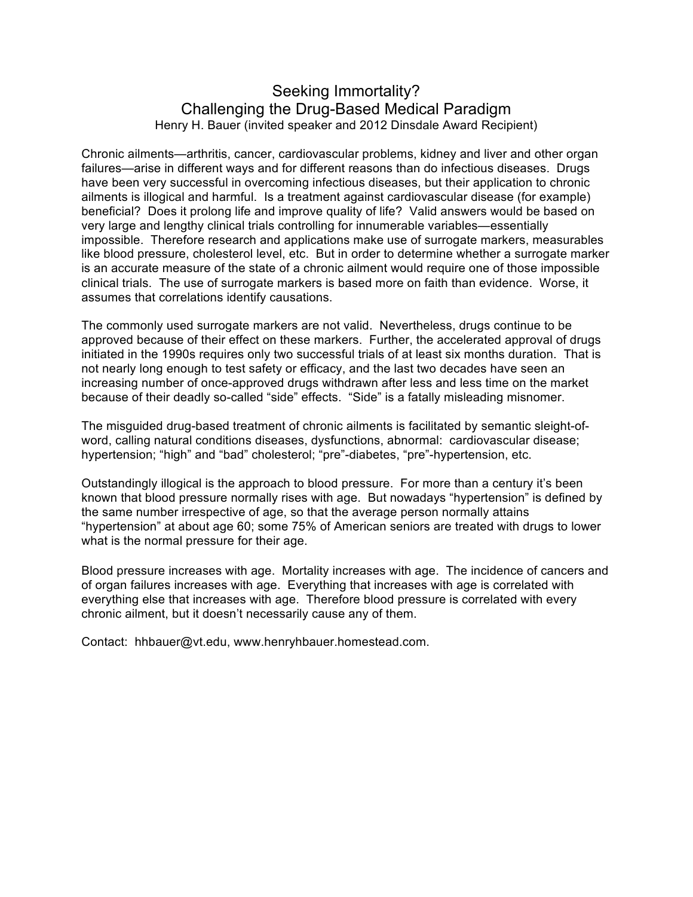## Seeking Immortality? Challenging the Drug-Based Medical Paradigm Henry H. Bauer (invited speaker and 2012 Dinsdale Award Recipient)

Chronic ailments—arthritis, cancer, cardiovascular problems, kidney and liver and other organ failures—arise in different ways and for different reasons than do infectious diseases. Drugs have been very successful in overcoming infectious diseases, but their application to chronic ailments is illogical and harmful. Is a treatment against cardiovascular disease (for example) beneficial? Does it prolong life and improve quality of life? Valid answers would be based on very large and lengthy clinical trials controlling for innumerable variables—essentially impossible. Therefore research and applications make use of surrogate markers, measurables like blood pressure, cholesterol level, etc. But in order to determine whether a surrogate marker is an accurate measure of the state of a chronic ailment would require one of those impossible clinical trials. The use of surrogate markers is based more on faith than evidence. Worse, it assumes that correlations identify causations.

The commonly used surrogate markers are not valid. Nevertheless, drugs continue to be approved because of their effect on these markers. Further, the accelerated approval of drugs initiated in the 1990s requires only two successful trials of at least six months duration. That is not nearly long enough to test safety or efficacy, and the last two decades have seen an increasing number of once-approved drugs withdrawn after less and less time on the market because of their deadly so-called "side" effects. "Side" is a fatally misleading misnomer.

The misguided drug-based treatment of chronic ailments is facilitated by semantic sleight-ofword, calling natural conditions diseases, dysfunctions, abnormal: cardiovascular disease; hypertension; "high" and "bad" cholesterol; "pre"-diabetes, "pre"-hypertension, etc.

Outstandingly illogical is the approach to blood pressure. For more than a century it's been known that blood pressure normally rises with age. But nowadays "hypertension" is defined by the same number irrespective of age, so that the average person normally attains "hypertension" at about age 60; some 75% of American seniors are treated with drugs to lower what is the normal pressure for their age.

Blood pressure increases with age. Mortality increases with age. The incidence of cancers and of organ failures increases with age. Everything that increases with age is correlated with everything else that increases with age. Therefore blood pressure is correlated with every chronic ailment, but it doesn't necessarily cause any of them.

Contact: hhbauer@vt.edu, www.henryhbauer.homestead.com.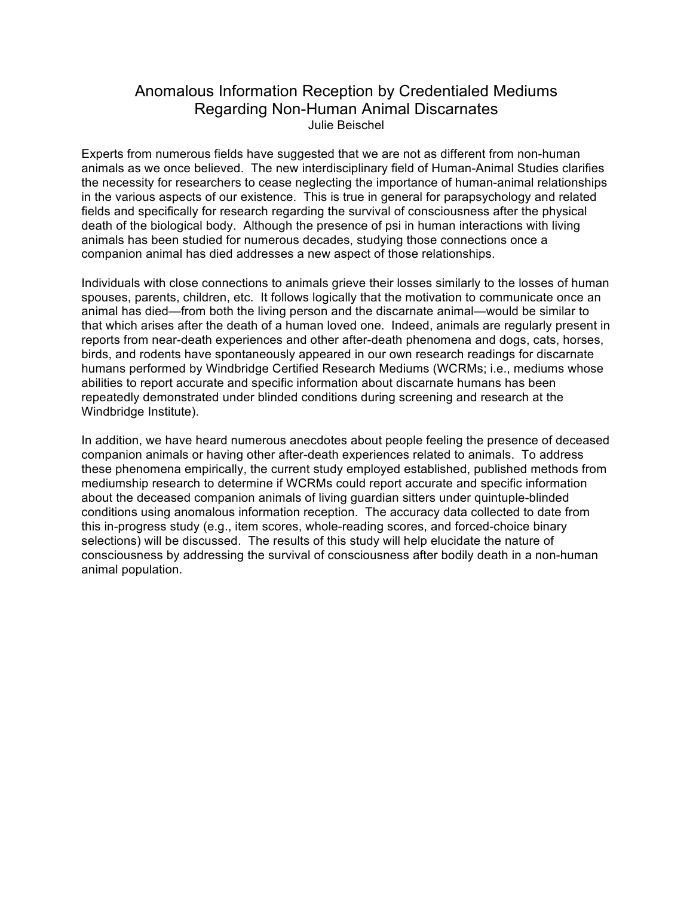## Anomalous Information Reception by Credentialed Mediums Regarding Non-Human Animal Discarnates Julie Beischel

Experts from numerous fields have suggested that we are not as different from non-human animals as we once believed. The new interdisciplinary field of Human-Animal Studies clarifies the necessity for researchers to cease neglecting the importance of human-animal relationships in the various aspects of our existence. This is true in general for parapsychology and related fields and specifically for research regarding the survival of consciousness after the physical death of the biological body. Although the presence of psi in human interactions with living animals has been studied for numerous decades, studying those connections once a companion animal has died addresses a new aspect of those relationships.

Individuals with close connections to animals grieve their losses similarly to the losses of human spouses, parents, children, etc. It follows logically that the motivation to communicate once an animal has died—from both the living person and the discarnate animal—would be similar to that which arises after the death of a human loved one. Indeed, animals are regularly present in reports from near-death experiences and other after-death phenomena and dogs, cats, horses, birds, and rodents have spontaneously appeared in our own research readings for discarnate humans performed by Windbridge Certified Research Mediums (WCRMs; i.e., mediums whose abilities to report accurate and specific information about discarnate humans has been repeatedly demonstrated under blinded conditions during screening and research at the Windbridge Institute).

In addition, we have heard numerous anecdotes about people feeling the presence of deceased companion animals or having other after-death experiences related to animals. To address these phenomena empirically, the current study employed established, published methods from mediumship research to determine if WCRMs could report accurate and specific information about the deceased companion animals of living guardian sitters under quintuple-blinded conditions using anomalous information reception. The accuracy data collected to date from this in-progress study (e.g., item scores, whole-reading scores, and forced-choice binary selections) will be discussed. The results of this study will help elucidate the nature of consciousness by addressing the survival of consciousness after bodily death in a non-human animal population.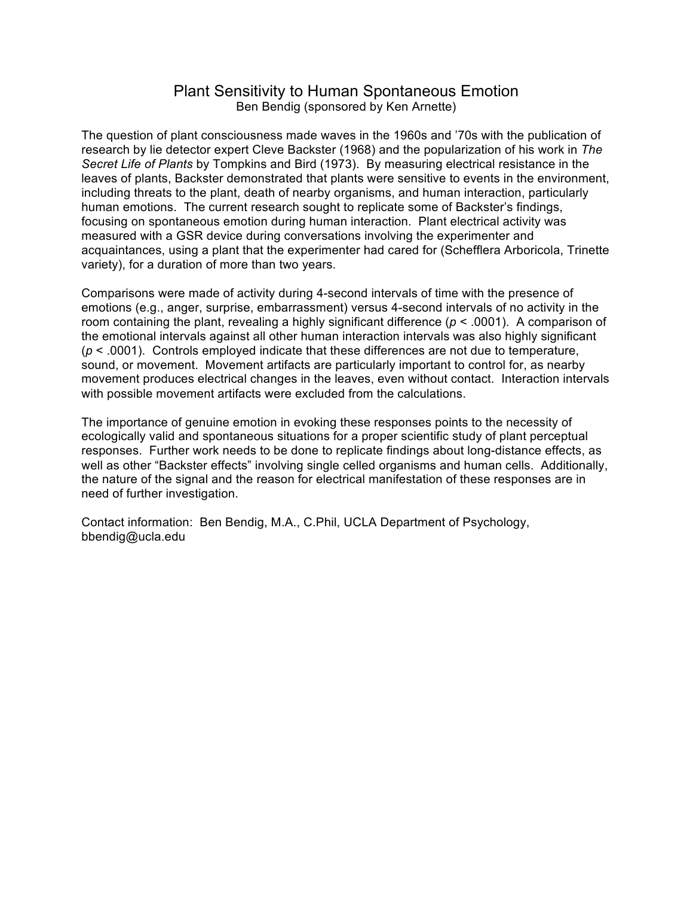### Plant Sensitivity to Human Spontaneous Emotion Ben Bendig (sponsored by Ken Arnette)

The question of plant consciousness made waves in the 1960s and '70s with the publication of research by lie detector expert Cleve Backster (1968) and the popularization of his work in *The Secret Life of Plants* by Tompkins and Bird (1973). By measuring electrical resistance in the leaves of plants, Backster demonstrated that plants were sensitive to events in the environment, including threats to the plant, death of nearby organisms, and human interaction, particularly human emotions. The current research sought to replicate some of Backster's findings, focusing on spontaneous emotion during human interaction. Plant electrical activity was measured with a GSR device during conversations involving the experimenter and acquaintances, using a plant that the experimenter had cared for (Schefflera Arboricola, Trinette variety), for a duration of more than two years.

Comparisons were made of activity during 4-second intervals of time with the presence of emotions (e.g., anger, surprise, embarrassment) versus 4-second intervals of no activity in the room containing the plant, revealing a highly significant difference (*p* < .0001). A comparison of the emotional intervals against all other human interaction intervals was also highly significant (*p* < .0001). Controls employed indicate that these differences are not due to temperature, sound, or movement. Movement artifacts are particularly important to control for, as nearby movement produces electrical changes in the leaves, even without contact. Interaction intervals with possible movement artifacts were excluded from the calculations.

The importance of genuine emotion in evoking these responses points to the necessity of ecologically valid and spontaneous situations for a proper scientific study of plant perceptual responses. Further work needs to be done to replicate findings about long-distance effects, as well as other "Backster effects" involving single celled organisms and human cells. Additionally, the nature of the signal and the reason for electrical manifestation of these responses are in need of further investigation.

Contact information: Ben Bendig, M.A., C.Phil, UCLA Department of Psychology, bbendig@ucla.edu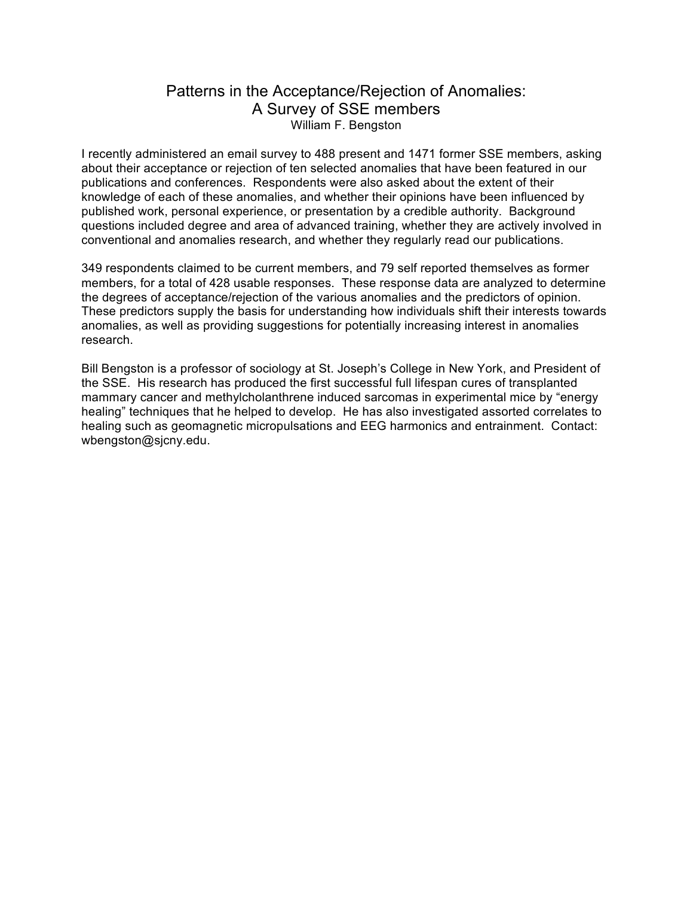# Patterns in the Acceptance/Rejection of Anomalies: A Survey of SSE members William F. Bengston

I recently administered an email survey to 488 present and 1471 former SSE members, asking about their acceptance or rejection of ten selected anomalies that have been featured in our publications and conferences. Respondents were also asked about the extent of their knowledge of each of these anomalies, and whether their opinions have been influenced by published work, personal experience, or presentation by a credible authority. Background questions included degree and area of advanced training, whether they are actively involved in conventional and anomalies research, and whether they regularly read our publications.

349 respondents claimed to be current members, and 79 self reported themselves as former members, for a total of 428 usable responses. These response data are analyzed to determine the degrees of acceptance/rejection of the various anomalies and the predictors of opinion. These predictors supply the basis for understanding how individuals shift their interests towards anomalies, as well as providing suggestions for potentially increasing interest in anomalies research.

Bill Bengston is a professor of sociology at St. Joseph's College in New York, and President of the SSE. His research has produced the first successful full lifespan cures of transplanted mammary cancer and methylcholanthrene induced sarcomas in experimental mice by "energy healing" techniques that he helped to develop. He has also investigated assorted correlates to healing such as geomagnetic micropulsations and EEG harmonics and entrainment. Contact: wbengston@sjcny.edu.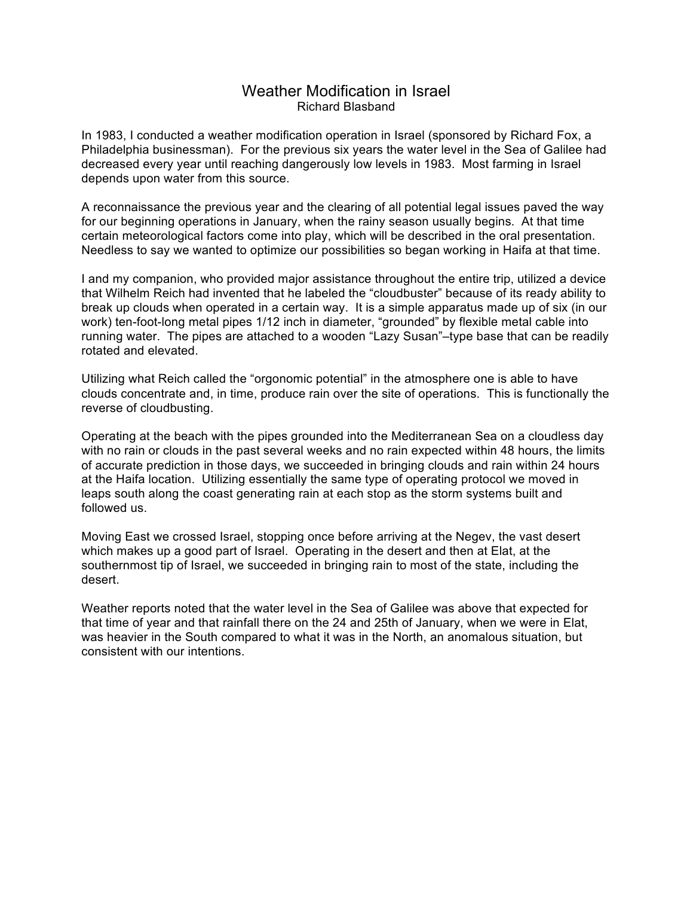### Weather Modification in Israel Richard Blasband

In 1983, I conducted a weather modification operation in Israel (sponsored by Richard Fox, a Philadelphia businessman). For the previous six years the water level in the Sea of Galilee had decreased every year until reaching dangerously low levels in 1983. Most farming in Israel depends upon water from this source.

A reconnaissance the previous year and the clearing of all potential legal issues paved the way for our beginning operations in January, when the rainy season usually begins. At that time certain meteorological factors come into play, which will be described in the oral presentation. Needless to say we wanted to optimize our possibilities so began working in Haifa at that time.

I and my companion, who provided major assistance throughout the entire trip, utilized a device that Wilhelm Reich had invented that he labeled the "cloudbuster" because of its ready ability to break up clouds when operated in a certain way. It is a simple apparatus made up of six (in our work) ten-foot-long metal pipes 1/12 inch in diameter, "grounded" by flexible metal cable into running water. The pipes are attached to a wooden "Lazy Susan"–type base that can be readily rotated and elevated.

Utilizing what Reich called the "orgonomic potential" in the atmosphere one is able to have clouds concentrate and, in time, produce rain over the site of operations. This is functionally the reverse of cloudbusting.

Operating at the beach with the pipes grounded into the Mediterranean Sea on a cloudless day with no rain or clouds in the past several weeks and no rain expected within 48 hours, the limits of accurate prediction in those days, we succeeded in bringing clouds and rain within 24 hours at the Haifa location. Utilizing essentially the same type of operating protocol we moved in leaps south along the coast generating rain at each stop as the storm systems built and followed us.

Moving East we crossed Israel, stopping once before arriving at the Negev, the vast desert which makes up a good part of Israel. Operating in the desert and then at Elat, at the southernmost tip of Israel, we succeeded in bringing rain to most of the state, including the desert.

Weather reports noted that the water level in the Sea of Galilee was above that expected for that time of year and that rainfall there on the 24 and 25th of January, when we were in Elat, was heavier in the South compared to what it was in the North, an anomalous situation, but consistent with our intentions.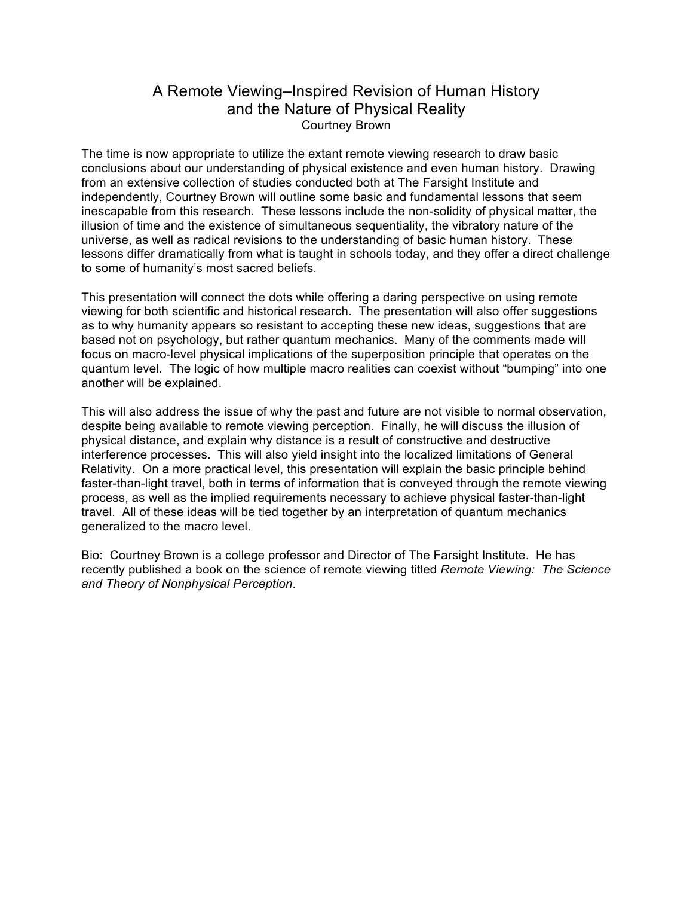# A Remote Viewing–Inspired Revision of Human History and the Nature of Physical Reality Courtney Brown

The time is now appropriate to utilize the extant remote viewing research to draw basic conclusions about our understanding of physical existence and even human history. Drawing from an extensive collection of studies conducted both at The Farsight Institute and independently, Courtney Brown will outline some basic and fundamental lessons that seem inescapable from this research. These lessons include the non-solidity of physical matter, the illusion of time and the existence of simultaneous sequentiality, the vibratory nature of the universe, as well as radical revisions to the understanding of basic human history. These lessons differ dramatically from what is taught in schools today, and they offer a direct challenge to some of humanity's most sacred beliefs.

This presentation will connect the dots while offering a daring perspective on using remote viewing for both scientific and historical research. The presentation will also offer suggestions as to why humanity appears so resistant to accepting these new ideas, suggestions that are based not on psychology, but rather quantum mechanics. Many of the comments made will focus on macro-level physical implications of the superposition principle that operates on the quantum level. The logic of how multiple macro realities can coexist without "bumping" into one another will be explained.

This will also address the issue of why the past and future are not visible to normal observation, despite being available to remote viewing perception. Finally, he will discuss the illusion of physical distance, and explain why distance is a result of constructive and destructive interference processes. This will also yield insight into the localized limitations of General Relativity. On a more practical level, this presentation will explain the basic principle behind faster-than-light travel, both in terms of information that is conveyed through the remote viewing process, as well as the implied requirements necessary to achieve physical faster-than-light travel. All of these ideas will be tied together by an interpretation of quantum mechanics generalized to the macro level.

Bio: Courtney Brown is a college professor and Director of The Farsight Institute. He has recently published a book on the science of remote viewing titled *Remote Viewing: The Science and Theory of Nonphysical Perception*.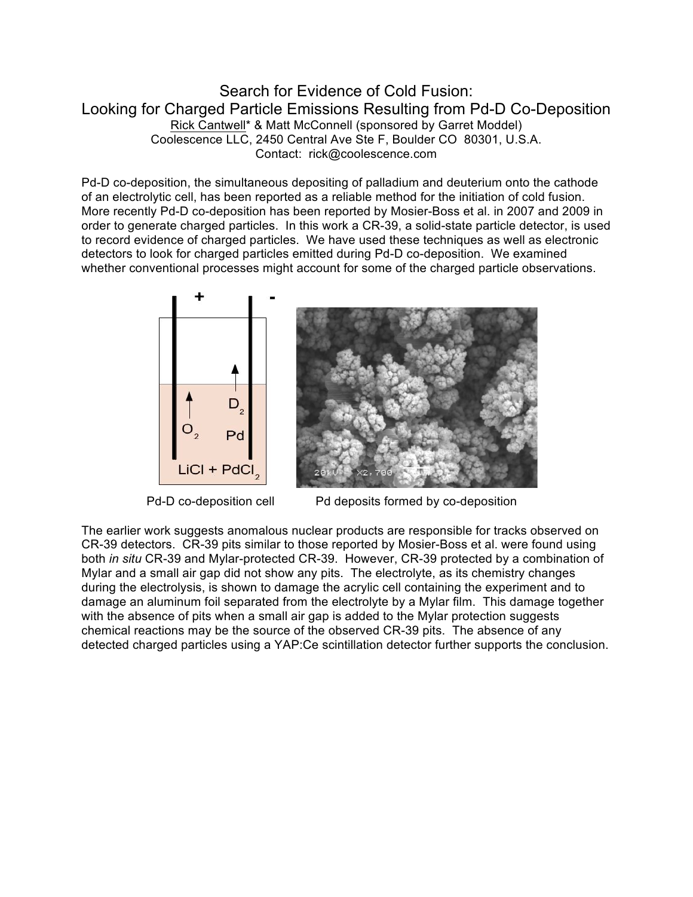## Search for Evidence of Cold Fusion: Looking for Charged Particle Emissions Resulting from Pd-D Co-Deposition Rick Cantwell\* & Matt McConnell (sponsored by Garret Moddel) Coolescence LLC, 2450 Central Ave Ste F, Boulder CO 80301, U.S.A. Contact: rick@coolescence.com

Pd-D co-deposition, the simultaneous depositing of palladium and deuterium onto the cathode of an electrolytic cell, has been reported as a reliable method for the initiation of cold fusion. More recently Pd-D co-deposition has been reported by Mosier-Boss et al. in 2007 and 2009 in order to generate charged particles. In this work a CR-39, a solid-state particle detector, is used to record evidence of charged particles. We have used these techniques as well as electronic detectors to look for charged particles emitted during Pd-D co-deposition. We examined whether conventional processes might account for some of the charged particle observations.





Pd-D co-deposition cell Pd deposits formed by co-deposition

The earlier work suggests anomalous nuclear products are responsible for tracks observed on CR-39 detectors. CR-39 pits similar to those reported by Mosier-Boss et al. were found using both *in situ* CR-39 and Mylar-protected CR-39. However, CR-39 protected by a combination of Mylar and a small air gap did not show any pits. The electrolyte, as its chemistry changes during the electrolysis, is shown to damage the acrylic cell containing the experiment and to damage an aluminum foil separated from the electrolyte by a Mylar film. This damage together with the absence of pits when a small air gap is added to the Mylar protection suggests chemical reactions may be the source of the observed CR-39 pits. The absence of any detected charged particles using a YAP:Ce scintillation detector further supports the conclusion.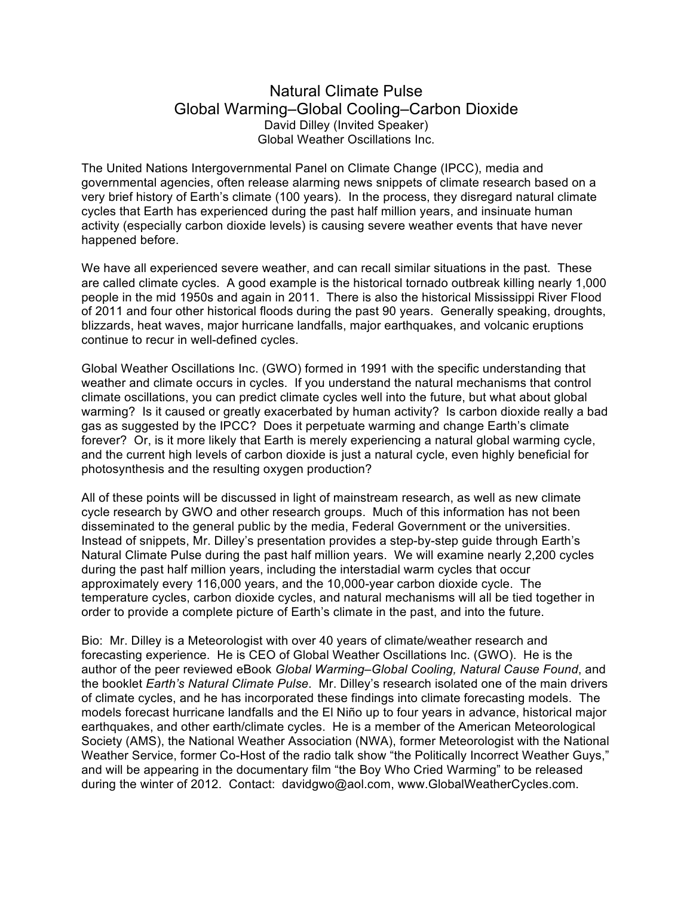## Natural Climate Pulse Global Warming–Global Cooling–Carbon Dioxide David Dilley (Invited Speaker) Global Weather Oscillations Inc.

The United Nations Intergovernmental Panel on Climate Change (IPCC), media and governmental agencies, often release alarming news snippets of climate research based on a very brief history of Earth's climate (100 years). In the process, they disregard natural climate cycles that Earth has experienced during the past half million years, and insinuate human activity (especially carbon dioxide levels) is causing severe weather events that have never happened before.

We have all experienced severe weather, and can recall similar situations in the past. These are called climate cycles. A good example is the historical tornado outbreak killing nearly 1,000 people in the mid 1950s and again in 2011. There is also the historical Mississippi River Flood of 2011 and four other historical floods during the past 90 years. Generally speaking, droughts, blizzards, heat waves, major hurricane landfalls, major earthquakes, and volcanic eruptions continue to recur in well-defined cycles.

Global Weather Oscillations Inc. (GWO) formed in 1991 with the specific understanding that weather and climate occurs in cycles. If you understand the natural mechanisms that control climate oscillations, you can predict climate cycles well into the future, but what about global warming? Is it caused or greatly exacerbated by human activity? Is carbon dioxide really a bad gas as suggested by the IPCC? Does it perpetuate warming and change Earth's climate forever? Or, is it more likely that Earth is merely experiencing a natural global warming cycle, and the current high levels of carbon dioxide is just a natural cycle, even highly beneficial for photosynthesis and the resulting oxygen production?

All of these points will be discussed in light of mainstream research, as well as new climate cycle research by GWO and other research groups. Much of this information has not been disseminated to the general public by the media, Federal Government or the universities. Instead of snippets, Mr. Dilley's presentation provides a step-by-step guide through Earth's Natural Climate Pulse during the past half million years. We will examine nearly 2,200 cycles during the past half million years, including the interstadial warm cycles that occur approximately every 116,000 years, and the 10,000-year carbon dioxide cycle. The temperature cycles, carbon dioxide cycles, and natural mechanisms will all be tied together in order to provide a complete picture of Earth's climate in the past, and into the future.

Bio: Mr. Dilley is a Meteorologist with over 40 years of climate/weather research and forecasting experience. He is CEO of Global Weather Oscillations Inc. (GWO). He is the author of the peer reviewed eBook *Global Warming–Global Cooling, Natural Cause Found*, and the booklet *Earth's Natural Climate Pulse*. Mr. Dilley's research isolated one of the main drivers of climate cycles, and he has incorporated these findings into climate forecasting models. The models forecast hurricane landfalls and the El Niño up to four years in advance, historical major earthquakes, and other earth/climate cycles. He is a member of the American Meteorological Society (AMS), the National Weather Association (NWA), former Meteorologist with the National Weather Service, former Co-Host of the radio talk show "the Politically Incorrect Weather Guys," and will be appearing in the documentary film "the Boy Who Cried Warming" to be released during the winter of 2012. Contact: davidgwo@aol.com, www.GlobalWeatherCycles.com.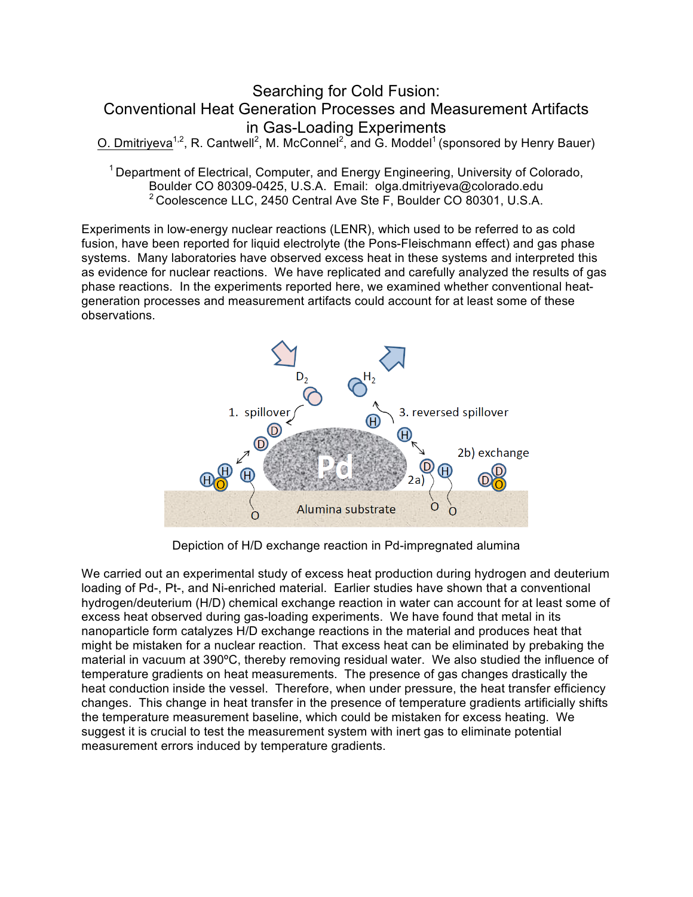# Searching for Cold Fusion: Conventional Heat Generation Processes and Measurement Artifacts in Gas-Loading Experiments

O. Dmitriyeva<sup>1,2</sup>, R. Cantwell<sup>2</sup>, M. McConnel<sup>2</sup>, and G. Moddel<sup>1</sup> (sponsored by Henry Bauer)

<sup>1</sup> Department of Electrical, Computer, and Energy Engineering, University of Colorado, Boulder CO 80309-0425, U.S.A. Email: olga.dmitriyeva@colorado.edu 2 Coolescence LLC, 2450 Central Ave Ste F, Boulder CO 80301, U.S.A.

Experiments in low-energy nuclear reactions (LENR), which used to be referred to as cold fusion, have been reported for liquid electrolyte (the Pons-Fleischmann effect) and gas phase systems. Many laboratories have observed excess heat in these systems and interpreted this as evidence for nuclear reactions. We have replicated and carefully analyzed the results of gas phase reactions. In the experiments reported here, we examined whether conventional heatgeneration processes and measurement artifacts could account for at least some of these observations.



Depiction of H/D exchange reaction in Pd-impregnated alumina

We carried out an experimental study of excess heat production during hydrogen and deuterium loading of Pd-, Pt-, and Ni-enriched material. Earlier studies have shown that a conventional hydrogen/deuterium (H/D) chemical exchange reaction in water can account for at least some of excess heat observed during gas-loading experiments. We have found that metal in its nanoparticle form catalyzes H/D exchange reactions in the material and produces heat that might be mistaken for a nuclear reaction. That excess heat can be eliminated by prebaking the material in vacuum at 390ºC, thereby removing residual water. We also studied the influence of temperature gradients on heat measurements. The presence of gas changes drastically the heat conduction inside the vessel. Therefore, when under pressure, the heat transfer efficiency changes. This change in heat transfer in the presence of temperature gradients artificially shifts the temperature measurement baseline, which could be mistaken for excess heating. We suggest it is crucial to test the measurement system with inert gas to eliminate potential measurement errors induced by temperature gradients.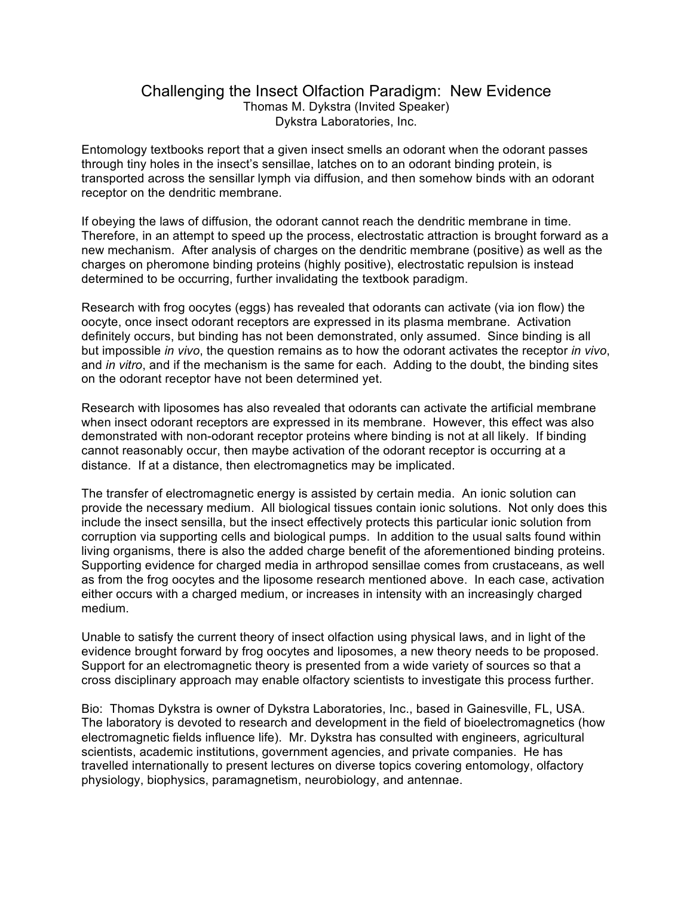### Challenging the Insect Olfaction Paradigm: New Evidence Thomas M. Dykstra (Invited Speaker) Dykstra Laboratories, Inc.

Entomology textbooks report that a given insect smells an odorant when the odorant passes through tiny holes in the insect's sensillae, latches on to an odorant binding protein, is transported across the sensillar lymph via diffusion, and then somehow binds with an odorant receptor on the dendritic membrane.

If obeying the laws of diffusion, the odorant cannot reach the dendritic membrane in time. Therefore, in an attempt to speed up the process, electrostatic attraction is brought forward as a new mechanism. After analysis of charges on the dendritic membrane (positive) as well as the charges on pheromone binding proteins (highly positive), electrostatic repulsion is instead determined to be occurring, further invalidating the textbook paradigm.

Research with frog oocytes (eggs) has revealed that odorants can activate (via ion flow) the oocyte, once insect odorant receptors are expressed in its plasma membrane. Activation definitely occurs, but binding has not been demonstrated, only assumed. Since binding is all but impossible *in vivo*, the question remains as to how the odorant activates the receptor *in vivo*, and *in vitro*, and if the mechanism is the same for each. Adding to the doubt, the binding sites on the odorant receptor have not been determined yet.

Research with liposomes has also revealed that odorants can activate the artificial membrane when insect odorant receptors are expressed in its membrane. However, this effect was also demonstrated with non-odorant receptor proteins where binding is not at all likely. If binding cannot reasonably occur, then maybe activation of the odorant receptor is occurring at a distance. If at a distance, then electromagnetics may be implicated.

The transfer of electromagnetic energy is assisted by certain media. An ionic solution can provide the necessary medium. All biological tissues contain ionic solutions. Not only does this include the insect sensilla, but the insect effectively protects this particular ionic solution from corruption via supporting cells and biological pumps. In addition to the usual salts found within living organisms, there is also the added charge benefit of the aforementioned binding proteins. Supporting evidence for charged media in arthropod sensillae comes from crustaceans, as well as from the frog oocytes and the liposome research mentioned above. In each case, activation either occurs with a charged medium, or increases in intensity with an increasingly charged medium.

Unable to satisfy the current theory of insect olfaction using physical laws, and in light of the evidence brought forward by frog oocytes and liposomes, a new theory needs to be proposed. Support for an electromagnetic theory is presented from a wide variety of sources so that a cross disciplinary approach may enable olfactory scientists to investigate this process further.

Bio: Thomas Dykstra is owner of Dykstra Laboratories, Inc., based in Gainesville, FL, USA. The laboratory is devoted to research and development in the field of bioelectromagnetics (how electromagnetic fields influence life). Mr. Dykstra has consulted with engineers, agricultural scientists, academic institutions, government agencies, and private companies. He has travelled internationally to present lectures on diverse topics covering entomology, olfactory physiology, biophysics, paramagnetism, neurobiology, and antennae.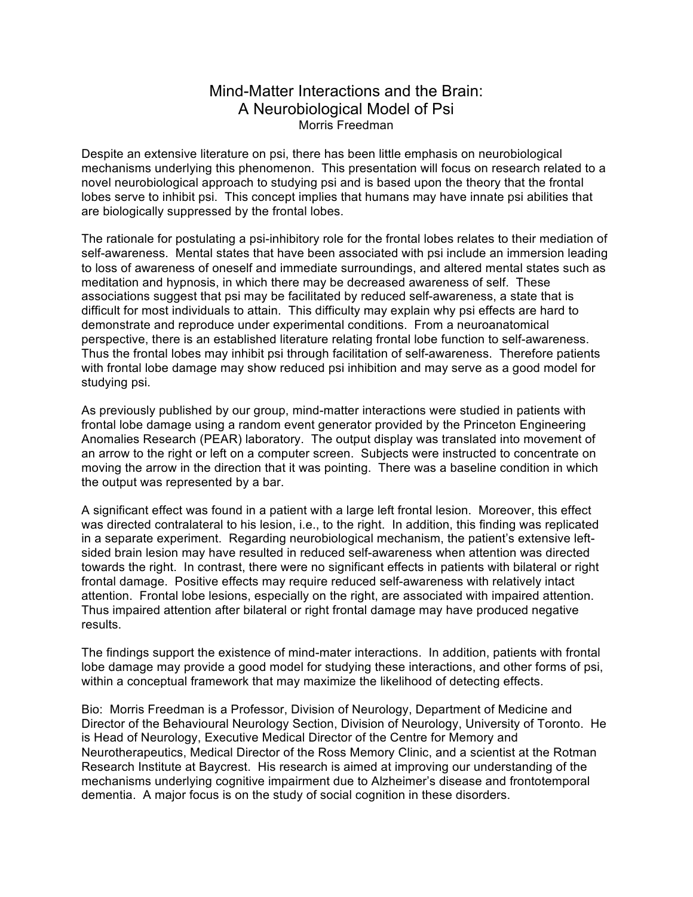## Mind-Matter Interactions and the Brain: A Neurobiological Model of Psi Morris Freedman

Despite an extensive literature on psi, there has been little emphasis on neurobiological mechanisms underlying this phenomenon. This presentation will focus on research related to a novel neurobiological approach to studying psi and is based upon the theory that the frontal lobes serve to inhibit psi. This concept implies that humans may have innate psi abilities that are biologically suppressed by the frontal lobes.

The rationale for postulating a psi-inhibitory role for the frontal lobes relates to their mediation of self-awareness. Mental states that have been associated with psi include an immersion leading to loss of awareness of oneself and immediate surroundings, and altered mental states such as meditation and hypnosis, in which there may be decreased awareness of self. These associations suggest that psi may be facilitated by reduced self-awareness, a state that is difficult for most individuals to attain. This difficulty may explain why psi effects are hard to demonstrate and reproduce under experimental conditions. From a neuroanatomical perspective, there is an established literature relating frontal lobe function to self-awareness. Thus the frontal lobes may inhibit psi through facilitation of self-awareness. Therefore patients with frontal lobe damage may show reduced psi inhibition and may serve as a good model for studying psi.

As previously published by our group, mind-matter interactions were studied in patients with frontal lobe damage using a random event generator provided by the Princeton Engineering Anomalies Research (PEAR) laboratory. The output display was translated into movement of an arrow to the right or left on a computer screen. Subjects were instructed to concentrate on moving the arrow in the direction that it was pointing. There was a baseline condition in which the output was represented by a bar.

A significant effect was found in a patient with a large left frontal lesion. Moreover, this effect was directed contralateral to his lesion, i.e., to the right. In addition, this finding was replicated in a separate experiment. Regarding neurobiological mechanism, the patient's extensive leftsided brain lesion may have resulted in reduced self-awareness when attention was directed towards the right. In contrast, there were no significant effects in patients with bilateral or right frontal damage. Positive effects may require reduced self-awareness with relatively intact attention. Frontal lobe lesions, especially on the right, are associated with impaired attention. Thus impaired attention after bilateral or right frontal damage may have produced negative results.

The findings support the existence of mind-mater interactions. In addition, patients with frontal lobe damage may provide a good model for studying these interactions, and other forms of psi, within a conceptual framework that may maximize the likelihood of detecting effects.

Bio: Morris Freedman is a Professor, Division of Neurology, Department of Medicine and Director of the Behavioural Neurology Section, Division of Neurology, University of Toronto. He is Head of Neurology, Executive Medical Director of the Centre for Memory and Neurotherapeutics, Medical Director of the Ross Memory Clinic, and a scientist at the Rotman Research Institute at Baycrest. His research is aimed at improving our understanding of the mechanisms underlying cognitive impairment due to Alzheimer's disease and frontotemporal dementia. A major focus is on the study of social cognition in these disorders.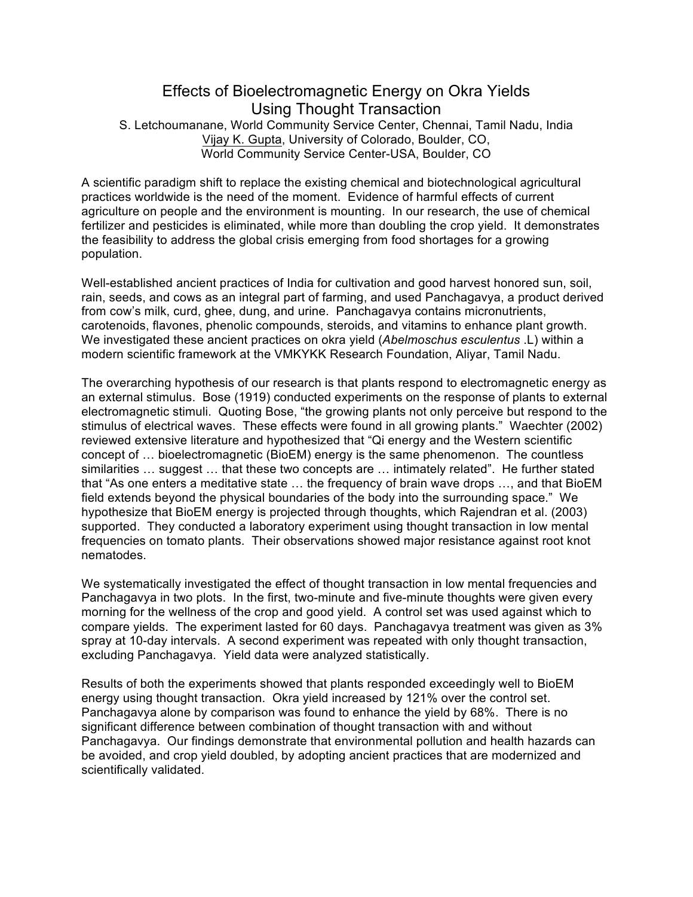## Effects of Bioelectromagnetic Energy on Okra Yields Using Thought Transaction S. Letchoumanane, World Community Service Center, Chennai, Tamil Nadu, India Vijay K. Gupta, University of Colorado, Boulder, CO, World Community Service Center-USA, Boulder, CO

A scientific paradigm shift to replace the existing chemical and biotechnological agricultural practices worldwide is the need of the moment. Evidence of harmful effects of current agriculture on people and the environment is mounting. In our research, the use of chemical fertilizer and pesticides is eliminated, while more than doubling the crop yield. It demonstrates the feasibility to address the global crisis emerging from food shortages for a growing population.

Well-established ancient practices of India for cultivation and good harvest honored sun, soil, rain, seeds, and cows as an integral part of farming, and used Panchagavya, a product derived from cow's milk, curd, ghee, dung, and urine. Panchagavya contains micronutrients, carotenoids, flavones, phenolic compounds, steroids, and vitamins to enhance plant growth. We investigated these ancient practices on okra yield (*Abelmoschus esculentus* .L) within a modern scientific framework at the VMKYKK Research Foundation, Aliyar, Tamil Nadu.

The overarching hypothesis of our research is that plants respond to electromagnetic energy as an external stimulus. Bose (1919) conducted experiments on the response of plants to external electromagnetic stimuli. Quoting Bose, "the growing plants not only perceive but respond to the stimulus of electrical waves. These effects were found in all growing plants." Waechter (2002) reviewed extensive literature and hypothesized that "Qi energy and the Western scientific concept of … bioelectromagnetic (BioEM) energy is the same phenomenon. The countless similarities … suggest … that these two concepts are … intimately related". He further stated that "As one enters a meditative state … the frequency of brain wave drops …, and that BioEM field extends beyond the physical boundaries of the body into the surrounding space." We hypothesize that BioEM energy is projected through thoughts, which Rajendran et al. (2003) supported. They conducted a laboratory experiment using thought transaction in low mental frequencies on tomato plants. Their observations showed major resistance against root knot nematodes.

We systematically investigated the effect of thought transaction in low mental frequencies and Panchagavya in two plots. In the first, two-minute and five-minute thoughts were given every morning for the wellness of the crop and good yield. A control set was used against which to compare yields. The experiment lasted for 60 days. Panchagavya treatment was given as 3% spray at 10-day intervals. A second experiment was repeated with only thought transaction, excluding Panchagavya. Yield data were analyzed statistically.

Results of both the experiments showed that plants responded exceedingly well to BioEM energy using thought transaction. Okra yield increased by 121% over the control set. Panchagavya alone by comparison was found to enhance the yield by 68%. There is no significant difference between combination of thought transaction with and without Panchagavya. Our findings demonstrate that environmental pollution and health hazards can be avoided, and crop yield doubled, by adopting ancient practices that are modernized and scientifically validated.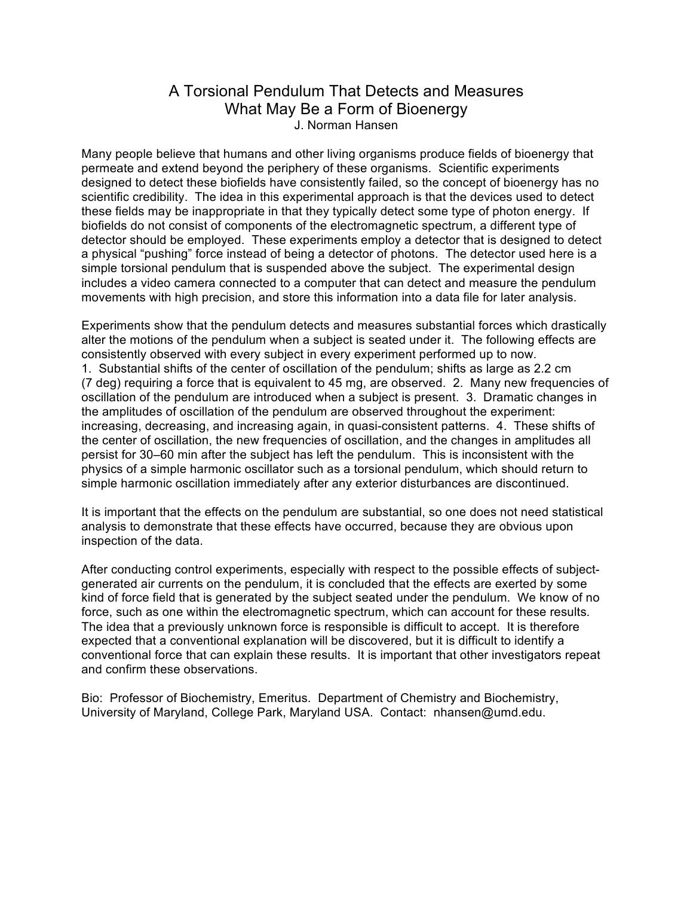## A Torsional Pendulum That Detects and Measures What May Be a Form of Bioenergy J. Norman Hansen

Many people believe that humans and other living organisms produce fields of bioenergy that permeate and extend beyond the periphery of these organisms. Scientific experiments designed to detect these biofields have consistently failed, so the concept of bioenergy has no scientific credibility. The idea in this experimental approach is that the devices used to detect these fields may be inappropriate in that they typically detect some type of photon energy. If biofields do not consist of components of the electromagnetic spectrum, a different type of detector should be employed. These experiments employ a detector that is designed to detect a physical "pushing" force instead of being a detector of photons. The detector used here is a simple torsional pendulum that is suspended above the subject. The experimental design includes a video camera connected to a computer that can detect and measure the pendulum movements with high precision, and store this information into a data file for later analysis.

Experiments show that the pendulum detects and measures substantial forces which drastically alter the motions of the pendulum when a subject is seated under it. The following effects are consistently observed with every subject in every experiment performed up to now. 1. Substantial shifts of the center of oscillation of the pendulum; shifts as large as 2.2 cm (7 deg) requiring a force that is equivalent to 45 mg, are observed. 2. Many new frequencies of oscillation of the pendulum are introduced when a subject is present. 3. Dramatic changes in the amplitudes of oscillation of the pendulum are observed throughout the experiment: increasing, decreasing, and increasing again, in quasi-consistent patterns. 4. These shifts of the center of oscillation, the new frequencies of oscillation, and the changes in amplitudes all persist for 30–60 min after the subject has left the pendulum. This is inconsistent with the physics of a simple harmonic oscillator such as a torsional pendulum, which should return to simple harmonic oscillation immediately after any exterior disturbances are discontinued.

It is important that the effects on the pendulum are substantial, so one does not need statistical analysis to demonstrate that these effects have occurred, because they are obvious upon inspection of the data.

After conducting control experiments, especially with respect to the possible effects of subjectgenerated air currents on the pendulum, it is concluded that the effects are exerted by some kind of force field that is generated by the subject seated under the pendulum. We know of no force, such as one within the electromagnetic spectrum, which can account for these results. The idea that a previously unknown force is responsible is difficult to accept. It is therefore expected that a conventional explanation will be discovered, but it is difficult to identify a conventional force that can explain these results. It is important that other investigators repeat and confirm these observations.

Bio: Professor of Biochemistry, Emeritus. Department of Chemistry and Biochemistry, University of Maryland, College Park, Maryland USA. Contact: nhansen@umd.edu.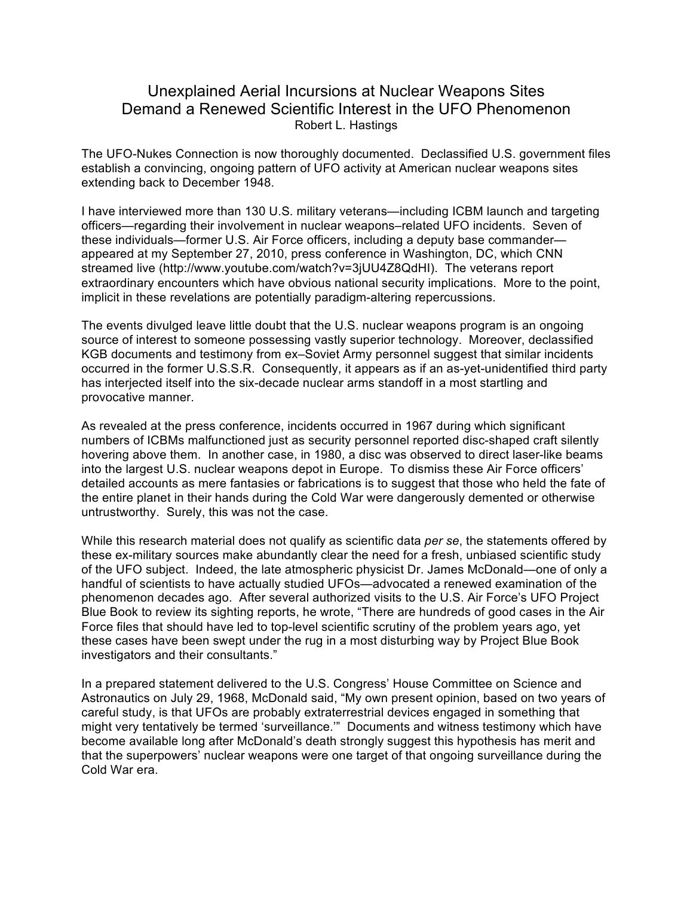# Unexplained Aerial Incursions at Nuclear Weapons Sites Demand a Renewed Scientific Interest in the UFO Phenomenon Robert L. Hastings

The UFO-Nukes Connection is now thoroughly documented. Declassified U.S. government files establish a convincing, ongoing pattern of UFO activity at American nuclear weapons sites extending back to December 1948.

I have interviewed more than 130 U.S. military veterans—including ICBM launch and targeting officers—regarding their involvement in nuclear weapons–related UFO incidents. Seven of these individuals—former U.S. Air Force officers, including a deputy base commander appeared at my September 27, 2010, press conference in Washington, DC, which CNN streamed live (http://www.youtube.com/watch?v=3jUU4Z8QdHI). The veterans report extraordinary encounters which have obvious national security implications. More to the point, implicit in these revelations are potentially paradigm-altering repercussions.

The events divulged leave little doubt that the U.S. nuclear weapons program is an ongoing source of interest to someone possessing vastly superior technology. Moreover, declassified KGB documents and testimony from ex–Soviet Army personnel suggest that similar incidents occurred in the former U.S.S.R. Consequently, it appears as if an as-yet-unidentified third party has interjected itself into the six-decade nuclear arms standoff in a most startling and provocative manner.

As revealed at the press conference, incidents occurred in 1967 during which significant numbers of ICBMs malfunctioned just as security personnel reported disc-shaped craft silently hovering above them. In another case, in 1980, a disc was observed to direct laser-like beams into the largest U.S. nuclear weapons depot in Europe. To dismiss these Air Force officers' detailed accounts as mere fantasies or fabrications is to suggest that those who held the fate of the entire planet in their hands during the Cold War were dangerously demented or otherwise untrustworthy. Surely, this was not the case.

While this research material does not qualify as scientific data *per se*, the statements offered by these ex-military sources make abundantly clear the need for a fresh, unbiased scientific study of the UFO subject. Indeed, the late atmospheric physicist Dr. James McDonald—one of only a handful of scientists to have actually studied UFOs—advocated a renewed examination of the phenomenon decades ago. After several authorized visits to the U.S. Air Force's UFO Project Blue Book to review its sighting reports, he wrote, "There are hundreds of good cases in the Air Force files that should have led to top-level scientific scrutiny of the problem years ago, yet these cases have been swept under the rug in a most disturbing way by Project Blue Book investigators and their consultants."

In a prepared statement delivered to the U.S. Congress' House Committee on Science and Astronautics on July 29, 1968, McDonald said, "My own present opinion, based on two years of careful study, is that UFOs are probably extraterrestrial devices engaged in something that might very tentatively be termed 'surveillance.'" Documents and witness testimony which have become available long after McDonald's death strongly suggest this hypothesis has merit and that the superpowers' nuclear weapons were one target of that ongoing surveillance during the Cold War era.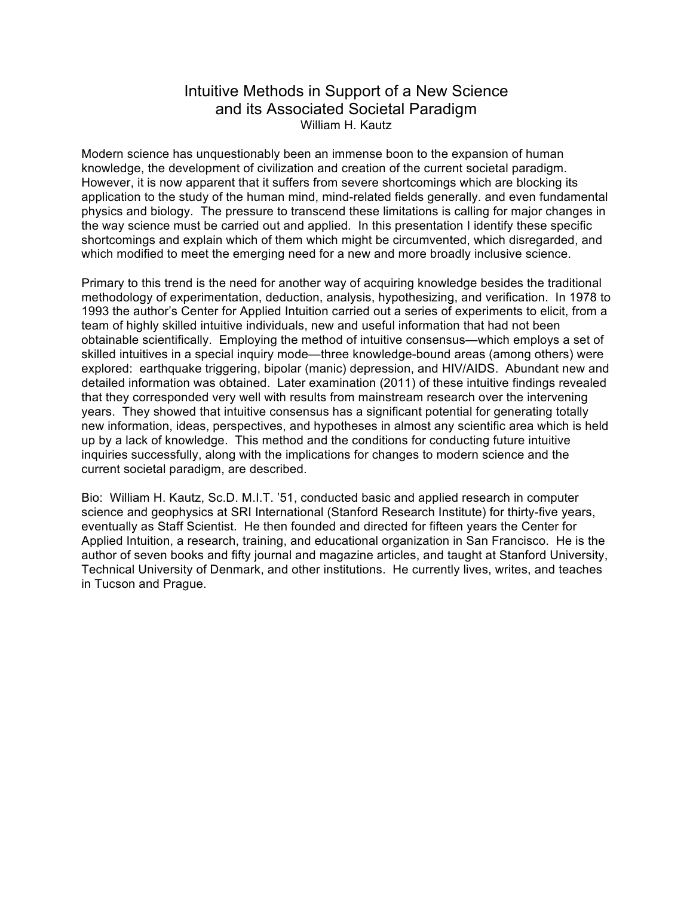## Intuitive Methods in Support of a New Science and its Associated Societal Paradigm William H. Kautz

Modern science has unquestionably been an immense boon to the expansion of human knowledge, the development of civilization and creation of the current societal paradigm. However, it is now apparent that it suffers from severe shortcomings which are blocking its application to the study of the human mind, mind-related fields generally. and even fundamental physics and biology. The pressure to transcend these limitations is calling for major changes in the way science must be carried out and applied. In this presentation I identify these specific shortcomings and explain which of them which might be circumvented, which disregarded, and which modified to meet the emerging need for a new and more broadly inclusive science.

Primary to this trend is the need for another way of acquiring knowledge besides the traditional methodology of experimentation, deduction, analysis, hypothesizing, and verification. In 1978 to 1993 the author's Center for Applied Intuition carried out a series of experiments to elicit, from a team of highly skilled intuitive individuals, new and useful information that had not been obtainable scientifically. Employing the method of intuitive consensus—which employs a set of skilled intuitives in a special inquiry mode—three knowledge-bound areas (among others) were explored: earthquake triggering, bipolar (manic) depression, and HIV/AIDS. Abundant new and detailed information was obtained. Later examination (2011) of these intuitive findings revealed that they corresponded very well with results from mainstream research over the intervening years. They showed that intuitive consensus has a significant potential for generating totally new information, ideas, perspectives, and hypotheses in almost any scientific area which is held up by a lack of knowledge. This method and the conditions for conducting future intuitive inquiries successfully, along with the implications for changes to modern science and the current societal paradigm, are described.

Bio: William H. Kautz, Sc.D. M.I.T. '51, conducted basic and applied research in computer science and geophysics at SRI International (Stanford Research Institute) for thirty-five years, eventually as Staff Scientist. He then founded and directed for fifteen years the Center for Applied Intuition, a research, training, and educational organization in San Francisco. He is the author of seven books and fifty journal and magazine articles, and taught at Stanford University, Technical University of Denmark, and other institutions. He currently lives, writes, and teaches in Tucson and Prague.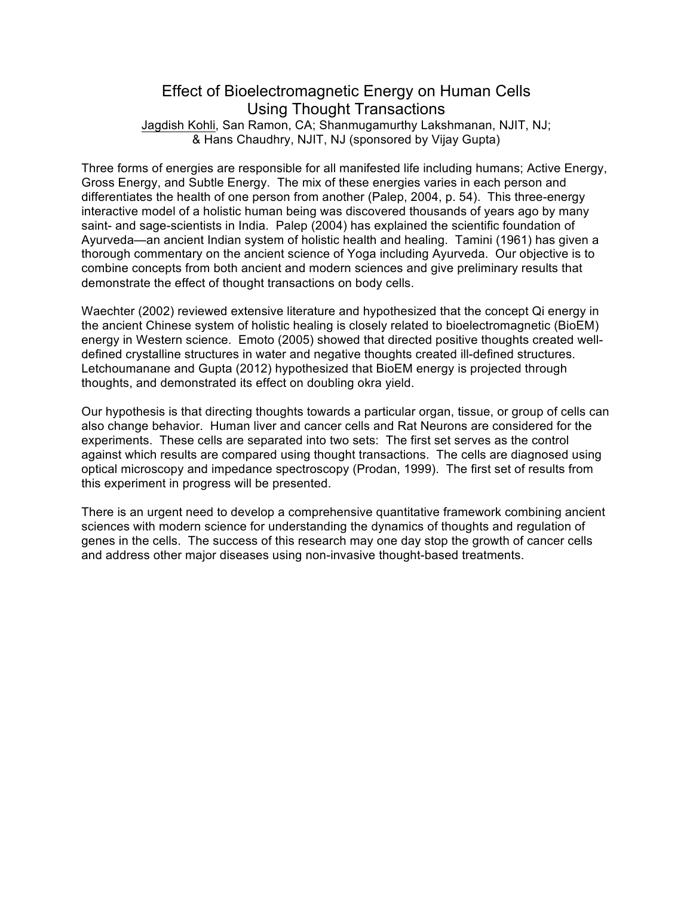## Effect of Bioelectromagnetic Energy on Human Cells Using Thought Transactions Jagdish Kohli, San Ramon, CA; Shanmugamurthy Lakshmanan, NJIT, NJ; & Hans Chaudhry, NJIT, NJ (sponsored by Vijay Gupta)

Three forms of energies are responsible for all manifested life including humans; Active Energy, Gross Energy, and Subtle Energy. The mix of these energies varies in each person and differentiates the health of one person from another (Palep, 2004, p. 54). This three-energy interactive model of a holistic human being was discovered thousands of years ago by many saint- and sage-scientists in India. Palep (2004) has explained the scientific foundation of Ayurveda—an ancient Indian system of holistic health and healing. Tamini (1961) has given a thorough commentary on the ancient science of Yoga including Ayurveda. Our objective is to combine concepts from both ancient and modern sciences and give preliminary results that demonstrate the effect of thought transactions on body cells.

Waechter (2002) reviewed extensive literature and hypothesized that the concept Qi energy in the ancient Chinese system of holistic healing is closely related to bioelectromagnetic (BioEM) energy in Western science. Emoto (2005) showed that directed positive thoughts created welldefined crystalline structures in water and negative thoughts created ill-defined structures. Letchoumanane and Gupta (2012) hypothesized that BioEM energy is projected through thoughts, and demonstrated its effect on doubling okra yield.

Our hypothesis is that directing thoughts towards a particular organ, tissue, or group of cells can also change behavior. Human liver and cancer cells and Rat Neurons are considered for the experiments. These cells are separated into two sets: The first set serves as the control against which results are compared using thought transactions. The cells are diagnosed using optical microscopy and impedance spectroscopy (Prodan, 1999). The first set of results from this experiment in progress will be presented.

There is an urgent need to develop a comprehensive quantitative framework combining ancient sciences with modern science for understanding the dynamics of thoughts and regulation of genes in the cells. The success of this research may one day stop the growth of cancer cells and address other major diseases using non-invasive thought-based treatments.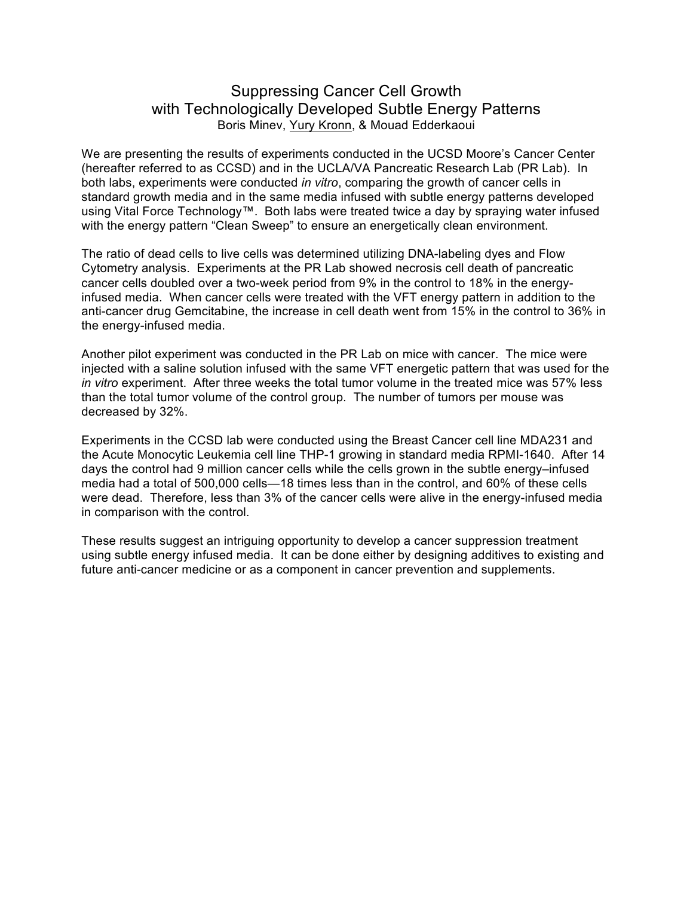# Suppressing Cancer Cell Growth with Technologically Developed Subtle Energy Patterns Boris Minev, Yury Kronn, & Mouad Edderkaoui

We are presenting the results of experiments conducted in the UCSD Moore's Cancer Center (hereafter referred to as CCSD) and in the UCLA/VA Pancreatic Research Lab (PR Lab). In both labs, experiments were conducted *in vitro*, comparing the growth of cancer cells in standard growth media and in the same media infused with subtle energy patterns developed using Vital Force Technology™. Both labs were treated twice a day by spraying water infused with the energy pattern "Clean Sweep" to ensure an energetically clean environment.

The ratio of dead cells to live cells was determined utilizing DNA-labeling dyes and Flow Cytometry analysis. Experiments at the PR Lab showed necrosis cell death of pancreatic cancer cells doubled over a two-week period from 9% in the control to 18% in the energyinfused media. When cancer cells were treated with the VFT energy pattern in addition to the anti-cancer drug Gemcitabine, the increase in cell death went from 15% in the control to 36% in the energy-infused media.

Another pilot experiment was conducted in the PR Lab on mice with cancer. The mice were injected with a saline solution infused with the same VFT energetic pattern that was used for the *in vitro* experiment. After three weeks the total tumor volume in the treated mice was 57% less than the total tumor volume of the control group. The number of tumors per mouse was decreased by 32%.

Experiments in the CCSD lab were conducted using the Breast Cancer cell line MDA231 and the Acute Monocytic Leukemia cell line THP-1 growing in standard media RPMI-1640. After 14 days the control had 9 million cancer cells while the cells grown in the subtle energy–infused media had a total of 500,000 cells—18 times less than in the control, and 60% of these cells were dead. Therefore, less than 3% of the cancer cells were alive in the energy-infused media in comparison with the control.

These results suggest an intriguing opportunity to develop a cancer suppression treatment using subtle energy infused media. It can be done either by designing additives to existing and future anti-cancer medicine or as a component in cancer prevention and supplements.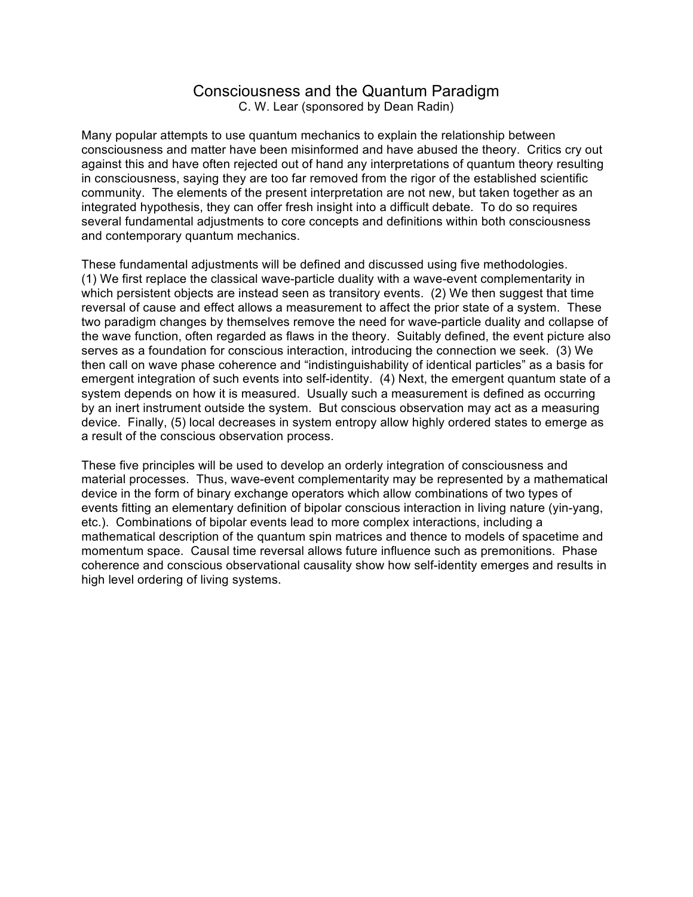### Consciousness and the Quantum Paradigm C. W. Lear (sponsored by Dean Radin)

Many popular attempts to use quantum mechanics to explain the relationship between consciousness and matter have been misinformed and have abused the theory. Critics cry out against this and have often rejected out of hand any interpretations of quantum theory resulting in consciousness, saying they are too far removed from the rigor of the established scientific community. The elements of the present interpretation are not new, but taken together as an integrated hypothesis, they can offer fresh insight into a difficult debate. To do so requires several fundamental adjustments to core concepts and definitions within both consciousness and contemporary quantum mechanics.

These fundamental adjustments will be defined and discussed using five methodologies. (1) We first replace the classical wave-particle duality with a wave-event complementarity in which persistent objects are instead seen as transitory events. (2) We then suggest that time reversal of cause and effect allows a measurement to affect the prior state of a system. These two paradigm changes by themselves remove the need for wave-particle duality and collapse of the wave function, often regarded as flaws in the theory. Suitably defined, the event picture also serves as a foundation for conscious interaction, introducing the connection we seek. (3) We then call on wave phase coherence and "indistinguishability of identical particles" as a basis for emergent integration of such events into self-identity. (4) Next, the emergent quantum state of a system depends on how it is measured. Usually such a measurement is defined as occurring by an inert instrument outside the system. But conscious observation may act as a measuring device. Finally, (5) local decreases in system entropy allow highly ordered states to emerge as a result of the conscious observation process.

These five principles will be used to develop an orderly integration of consciousness and material processes. Thus, wave-event complementarity may be represented by a mathematical device in the form of binary exchange operators which allow combinations of two types of events fitting an elementary definition of bipolar conscious interaction in living nature (yin-yang, etc.). Combinations of bipolar events lead to more complex interactions, including a mathematical description of the quantum spin matrices and thence to models of spacetime and momentum space. Causal time reversal allows future influence such as premonitions. Phase coherence and conscious observational causality show how self-identity emerges and results in high level ordering of living systems.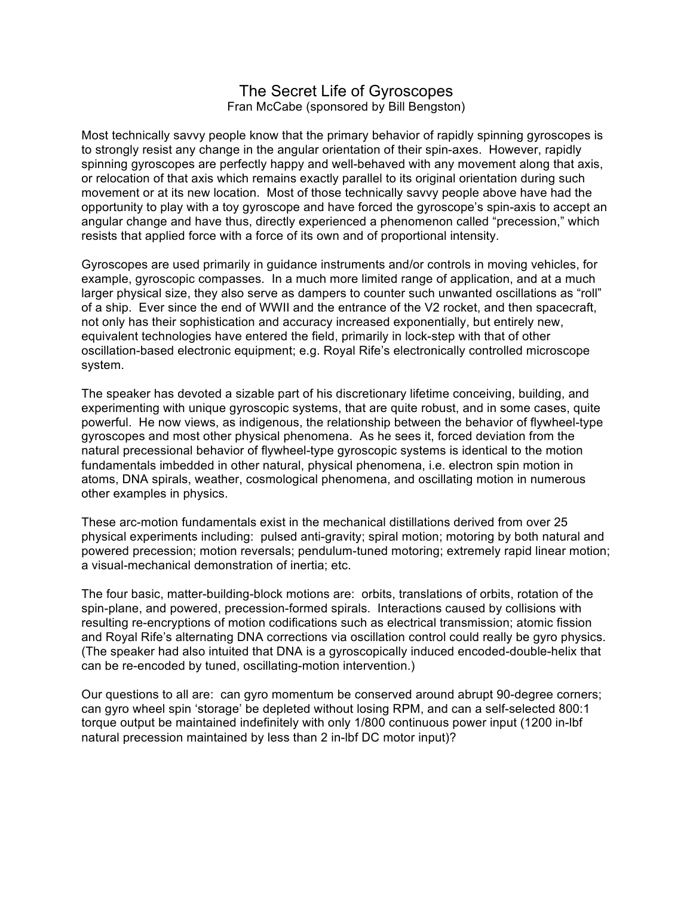### The Secret Life of Gyroscopes Fran McCabe (sponsored by Bill Bengston)

Most technically savvy people know that the primary behavior of rapidly spinning gyroscopes is to strongly resist any change in the angular orientation of their spin-axes. However, rapidly spinning gyroscopes are perfectly happy and well-behaved with any movement along that axis, or relocation of that axis which remains exactly parallel to its original orientation during such movement or at its new location. Most of those technically savvy people above have had the opportunity to play with a toy gyroscope and have forced the gyroscope's spin-axis to accept an angular change and have thus, directly experienced a phenomenon called "precession," which resists that applied force with a force of its own and of proportional intensity.

Gyroscopes are used primarily in guidance instruments and/or controls in moving vehicles, for example, gyroscopic compasses. In a much more limited range of application, and at a much larger physical size, they also serve as dampers to counter such unwanted oscillations as "roll" of a ship. Ever since the end of WWII and the entrance of the V2 rocket, and then spacecraft, not only has their sophistication and accuracy increased exponentially, but entirely new, equivalent technologies have entered the field, primarily in lock-step with that of other oscillation-based electronic equipment; e.g. Royal Rife's electronically controlled microscope system.

The speaker has devoted a sizable part of his discretionary lifetime conceiving, building, and experimenting with unique gyroscopic systems, that are quite robust, and in some cases, quite powerful. He now views, as indigenous, the relationship between the behavior of flywheel-type gyroscopes and most other physical phenomena. As he sees it, forced deviation from the natural precessional behavior of flywheel-type gyroscopic systems is identical to the motion fundamentals imbedded in other natural, physical phenomena, i.e. electron spin motion in atoms, DNA spirals, weather, cosmological phenomena, and oscillating motion in numerous other examples in physics.

These arc-motion fundamentals exist in the mechanical distillations derived from over 25 physical experiments including: pulsed anti-gravity; spiral motion; motoring by both natural and powered precession; motion reversals; pendulum-tuned motoring; extremely rapid linear motion; a visual-mechanical demonstration of inertia; etc.

The four basic, matter-building-block motions are: orbits, translations of orbits, rotation of the spin-plane, and powered, precession-formed spirals. Interactions caused by collisions with resulting re-encryptions of motion codifications such as electrical transmission; atomic fission and Royal Rife's alternating DNA corrections via oscillation control could really be gyro physics. (The speaker had also intuited that DNA is a gyroscopically induced encoded-double-helix that can be re-encoded by tuned, oscillating-motion intervention.)

Our questions to all are: can gyro momentum be conserved around abrupt 90-degree corners; can gyro wheel spin 'storage' be depleted without losing RPM, and can a self-selected 800:1 torque output be maintained indefinitely with only 1/800 continuous power input (1200 in-lbf natural precession maintained by less than 2 in-lbf DC motor input)?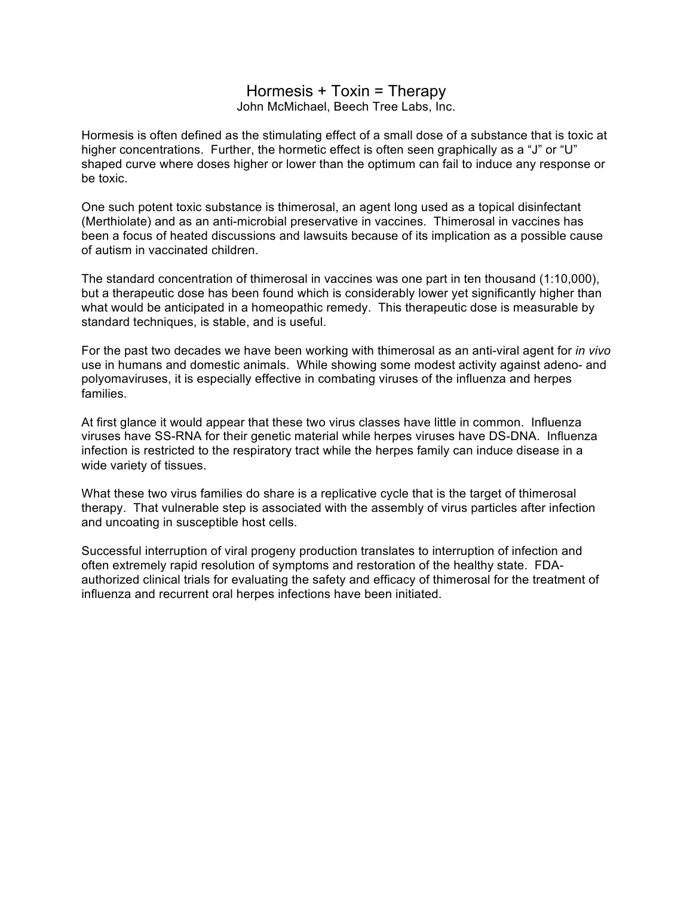### Hormesis + Toxin = Therapy John McMichael, Beech Tree Labs, Inc.

Hormesis is often defined as the stimulating effect of a small dose of a substance that is toxic at higher concentrations. Further, the hormetic effect is often seen graphically as a "J" or "U" shaped curve where doses higher or lower than the optimum can fail to induce any response or be toxic.

One such potent toxic substance is thimerosal, an agent long used as a topical disinfectant (Merthiolate) and as an anti-microbial preservative in vaccines. Thimerosal in vaccines has been a focus of heated discussions and lawsuits because of its implication as a possible cause of autism in vaccinated children.

The standard concentration of thimerosal in vaccines was one part in ten thousand (1:10,000), but a therapeutic dose has been found which is considerably lower yet significantly higher than what would be anticipated in a homeopathic remedy. This therapeutic dose is measurable by standard techniques, is stable, and is useful.

For the past two decades we have been working with thimerosal as an anti-viral agent for *in vivo* use in humans and domestic animals. While showing some modest activity against adeno- and polyomaviruses, it is especially effective in combating viruses of the influenza and herpes families.

At first glance it would appear that these two virus classes have little in common. Influenza viruses have SS-RNA for their genetic material while herpes viruses have DS-DNA. Influenza infection is restricted to the respiratory tract while the herpes family can induce disease in a wide variety of tissues.

What these two virus families do share is a replicative cycle that is the target of thimerosal therapy. That vulnerable step is associated with the assembly of virus particles after infection and uncoating in susceptible host cells.

Successful interruption of viral progeny production translates to interruption of infection and often extremely rapid resolution of symptoms and restoration of the healthy state. FDAauthorized clinical trials for evaluating the safety and efficacy of thimerosal for the treatment of influenza and recurrent oral herpes infections have been initiated.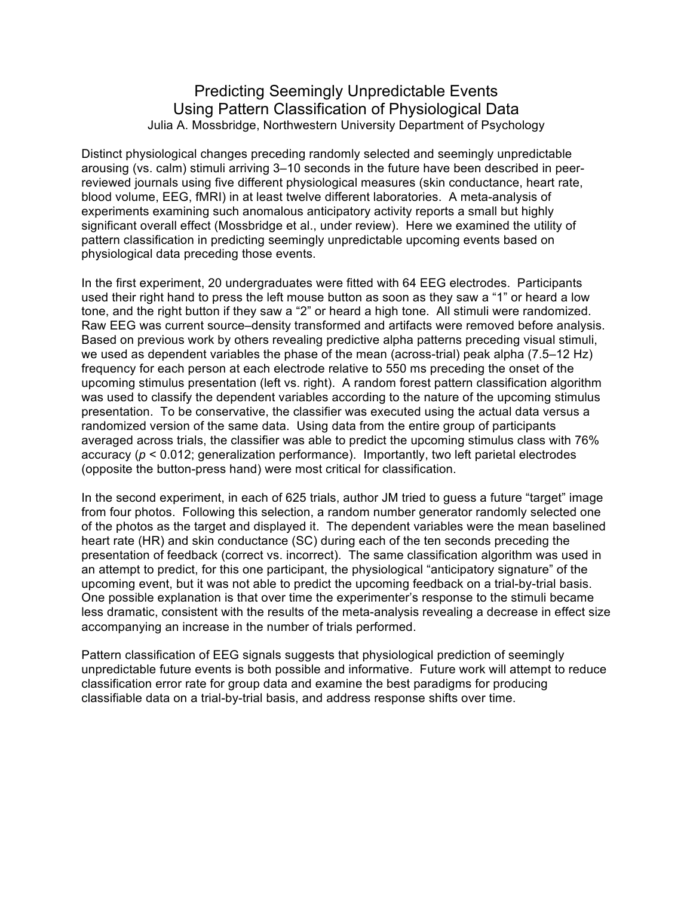# Predicting Seemingly Unpredictable Events Using Pattern Classification of Physiological Data Julia A. Mossbridge, Northwestern University Department of Psychology

Distinct physiological changes preceding randomly selected and seemingly unpredictable arousing (vs. calm) stimuli arriving 3–10 seconds in the future have been described in peerreviewed journals using five different physiological measures (skin conductance, heart rate, blood volume, EEG, fMRI) in at least twelve different laboratories. A meta-analysis of experiments examining such anomalous anticipatory activity reports a small but highly significant overall effect (Mossbridge et al., under review). Here we examined the utility of pattern classification in predicting seemingly unpredictable upcoming events based on physiological data preceding those events.

In the first experiment, 20 undergraduates were fitted with 64 EEG electrodes. Participants used their right hand to press the left mouse button as soon as they saw a "1" or heard a low tone, and the right button if they saw a "2" or heard a high tone. All stimuli were randomized. Raw EEG was current source–density transformed and artifacts were removed before analysis. Based on previous work by others revealing predictive alpha patterns preceding visual stimuli, we used as dependent variables the phase of the mean (across-trial) peak alpha (7.5–12 Hz) frequency for each person at each electrode relative to 550 ms preceding the onset of the upcoming stimulus presentation (left vs. right). A random forest pattern classification algorithm was used to classify the dependent variables according to the nature of the upcoming stimulus presentation. To be conservative, the classifier was executed using the actual data versus a randomized version of the same data. Using data from the entire group of participants averaged across trials, the classifier was able to predict the upcoming stimulus class with 76% accuracy (*p* < 0.012; generalization performance). Importantly, two left parietal electrodes (opposite the button-press hand) were most critical for classification.

In the second experiment, in each of 625 trials, author JM tried to guess a future "target" image from four photos. Following this selection, a random number generator randomly selected one of the photos as the target and displayed it. The dependent variables were the mean baselined heart rate (HR) and skin conductance (SC) during each of the ten seconds preceding the presentation of feedback (correct vs. incorrect). The same classification algorithm was used in an attempt to predict, for this one participant, the physiological "anticipatory signature" of the upcoming event, but it was not able to predict the upcoming feedback on a trial-by-trial basis. One possible explanation is that over time the experimenter's response to the stimuli became less dramatic, consistent with the results of the meta-analysis revealing a decrease in effect size accompanying an increase in the number of trials performed.

Pattern classification of EEG signals suggests that physiological prediction of seemingly unpredictable future events is both possible and informative. Future work will attempt to reduce classification error rate for group data and examine the best paradigms for producing classifiable data on a trial-by-trial basis, and address response shifts over time.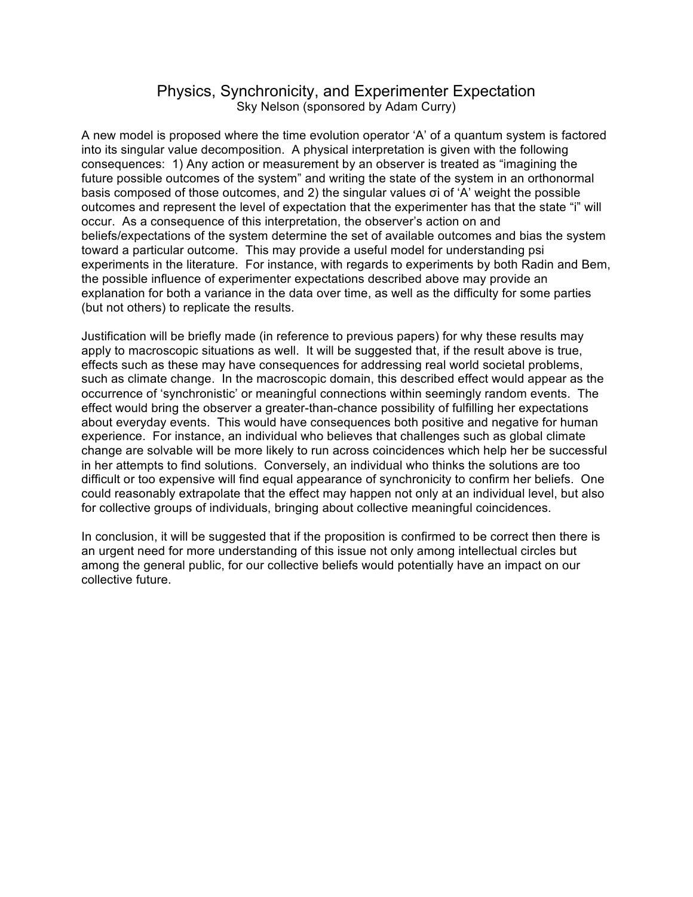## Physics, Synchronicity, and Experimenter Expectation Sky Nelson (sponsored by Adam Curry)

A new model is proposed where the time evolution operator 'A' of a quantum system is factored into its singular value decomposition. A physical interpretation is given with the following consequences: 1) Any action or measurement by an observer is treated as "imagining the future possible outcomes of the system" and writing the state of the system in an orthonormal basis composed of those outcomes, and 2) the singular values σi of 'A' weight the possible outcomes and represent the level of expectation that the experimenter has that the state "i" will occur. As a consequence of this interpretation, the observer's action on and beliefs/expectations of the system determine the set of available outcomes and bias the system toward a particular outcome. This may provide a useful model for understanding psi experiments in the literature. For instance, with regards to experiments by both Radin and Bem, the possible influence of experimenter expectations described above may provide an explanation for both a variance in the data over time, as well as the difficulty for some parties (but not others) to replicate the results.

Justification will be briefly made (in reference to previous papers) for why these results may apply to macroscopic situations as well. It will be suggested that, if the result above is true, effects such as these may have consequences for addressing real world societal problems, such as climate change. In the macroscopic domain, this described effect would appear as the occurrence of 'synchronistic' or meaningful connections within seemingly random events. The effect would bring the observer a greater-than-chance possibility of fulfilling her expectations about everyday events. This would have consequences both positive and negative for human experience. For instance, an individual who believes that challenges such as global climate change are solvable will be more likely to run across coincidences which help her be successful in her attempts to find solutions. Conversely, an individual who thinks the solutions are too difficult or too expensive will find equal appearance of synchronicity to confirm her beliefs. One could reasonably extrapolate that the effect may happen not only at an individual level, but also for collective groups of individuals, bringing about collective meaningful coincidences.

In conclusion, it will be suggested that if the proposition is confirmed to be correct then there is an urgent need for more understanding of this issue not only among intellectual circles but among the general public, for our collective beliefs would potentially have an impact on our collective future.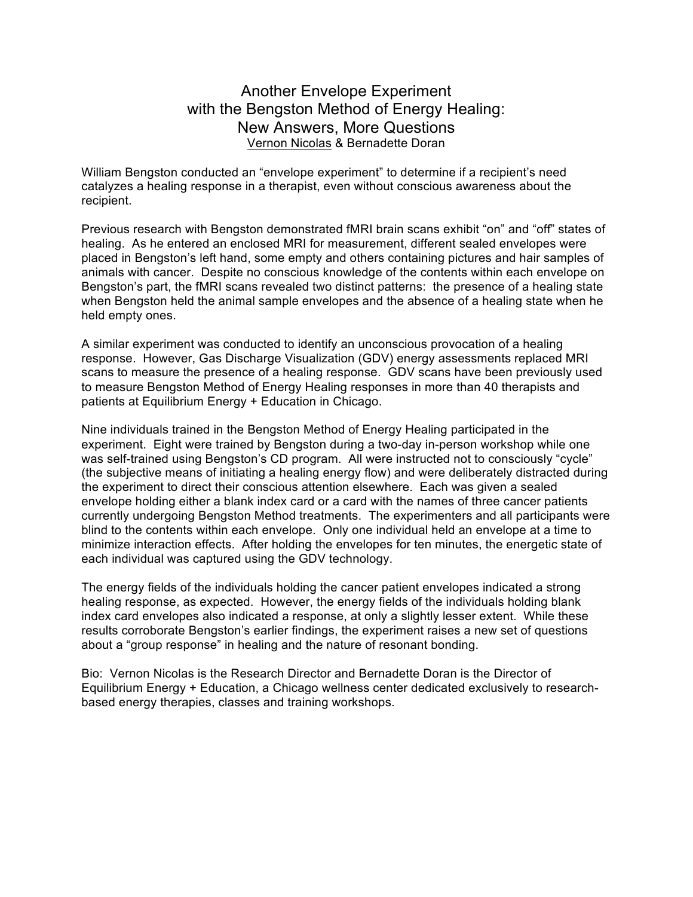# Another Envelope Experiment with the Bengston Method of Energy Healing: New Answers, More Questions Vernon Nicolas & Bernadette Doran

William Bengston conducted an "envelope experiment" to determine if a recipient's need catalyzes a healing response in a therapist, even without conscious awareness about the recipient.

Previous research with Bengston demonstrated fMRI brain scans exhibit "on" and "off" states of healing. As he entered an enclosed MRI for measurement, different sealed envelopes were placed in Bengston's left hand, some empty and others containing pictures and hair samples of animals with cancer. Despite no conscious knowledge of the contents within each envelope on Bengston's part, the fMRI scans revealed two distinct patterns: the presence of a healing state when Bengston held the animal sample envelopes and the absence of a healing state when he held empty ones.

A similar experiment was conducted to identify an unconscious provocation of a healing response. However, Gas Discharge Visualization (GDV) energy assessments replaced MRI scans to measure the presence of a healing response. GDV scans have been previously used to measure Bengston Method of Energy Healing responses in more than 40 therapists and patients at Equilibrium Energy + Education in Chicago.

Nine individuals trained in the Bengston Method of Energy Healing participated in the experiment. Eight were trained by Bengston during a two-day in-person workshop while one was self-trained using Bengston's CD program. All were instructed not to consciously "cycle" (the subjective means of initiating a healing energy flow) and were deliberately distracted during the experiment to direct their conscious attention elsewhere. Each was given a sealed envelope holding either a blank index card or a card with the names of three cancer patients currently undergoing Bengston Method treatments. The experimenters and all participants were blind to the contents within each envelope. Only one individual held an envelope at a time to minimize interaction effects. After holding the envelopes for ten minutes, the energetic state of each individual was captured using the GDV technology.

The energy fields of the individuals holding the cancer patient envelopes indicated a strong healing response, as expected. However, the energy fields of the individuals holding blank index card envelopes also indicated a response, at only a slightly lesser extent. While these results corroborate Bengston's earlier findings, the experiment raises a new set of questions about a "group response" in healing and the nature of resonant bonding.

Bio: Vernon Nicolas is the Research Director and Bernadette Doran is the Director of Equilibrium Energy + Education, a Chicago wellness center dedicated exclusively to researchbased energy therapies, classes and training workshops.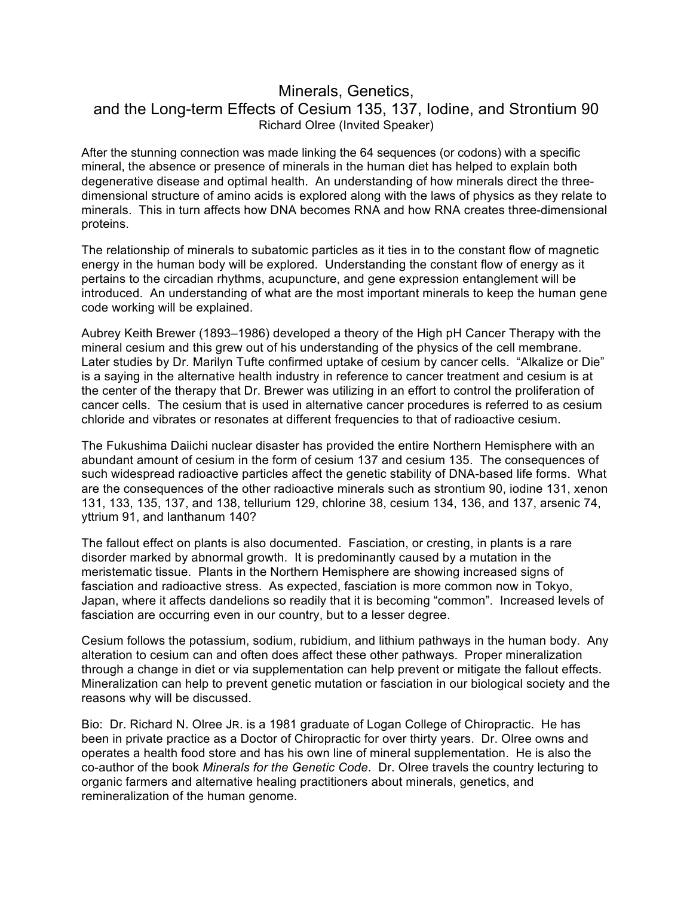# Minerals, Genetics, and the Long-term Effects of Cesium 135, 137, Iodine, and Strontium 90 Richard Olree (Invited Speaker)

After the stunning connection was made linking the 64 sequences (or codons) with a specific mineral, the absence or presence of minerals in the human diet has helped to explain both degenerative disease and optimal health. An understanding of how minerals direct the threedimensional structure of amino acids is explored along with the laws of physics as they relate to minerals. This in turn affects how DNA becomes RNA and how RNA creates three-dimensional proteins.

The relationship of minerals to subatomic particles as it ties in to the constant flow of magnetic energy in the human body will be explored. Understanding the constant flow of energy as it pertains to the circadian rhythms, acupuncture, and gene expression entanglement will be introduced. An understanding of what are the most important minerals to keep the human gene code working will be explained.

Aubrey Keith Brewer (1893–1986) developed a theory of the High pH Cancer Therapy with the mineral cesium and this grew out of his understanding of the physics of the cell membrane. Later studies by Dr. Marilyn Tufte confirmed uptake of cesium by cancer cells. "Alkalize or Die" is a saying in the alternative health industry in reference to cancer treatment and cesium is at the center of the therapy that Dr. Brewer was utilizing in an effort to control the proliferation of cancer cells. The cesium that is used in alternative cancer procedures is referred to as cesium chloride and vibrates or resonates at different frequencies to that of radioactive cesium.

The Fukushima Daiichi nuclear disaster has provided the entire Northern Hemisphere with an abundant amount of cesium in the form of cesium 137 and cesium 135. The consequences of such widespread radioactive particles affect the genetic stability of DNA-based life forms. What are the consequences of the other radioactive minerals such as strontium 90, iodine 131, xenon 131, 133, 135, 137, and 138, tellurium 129, chlorine 38, cesium 134, 136, and 137, arsenic 74, yttrium 91, and lanthanum 140?

The fallout effect on plants is also documented. Fasciation, or cresting, in plants is a rare disorder marked by abnormal growth. It is predominantly caused by a mutation in the meristematic tissue. Plants in the Northern Hemisphere are showing increased signs of fasciation and radioactive stress. As expected, fasciation is more common now in Tokyo, Japan, where it affects dandelions so readily that it is becoming "common". Increased levels of fasciation are occurring even in our country, but to a lesser degree.

Cesium follows the potassium, sodium, rubidium, and lithium pathways in the human body. Any alteration to cesium can and often does affect these other pathways. Proper mineralization through a change in diet or via supplementation can help prevent or mitigate the fallout effects. Mineralization can help to prevent genetic mutation or fasciation in our biological society and the reasons why will be discussed.

Bio: Dr. Richard N. Olree JR. is a 1981 graduate of Logan College of Chiropractic. He has been in private practice as a Doctor of Chiropractic for over thirty years. Dr. Olree owns and operates a health food store and has his own line of mineral supplementation. He is also the co-author of the book *Minerals for the Genetic Code*. Dr. Olree travels the country lecturing to organic farmers and alternative healing practitioners about minerals, genetics, and remineralization of the human genome.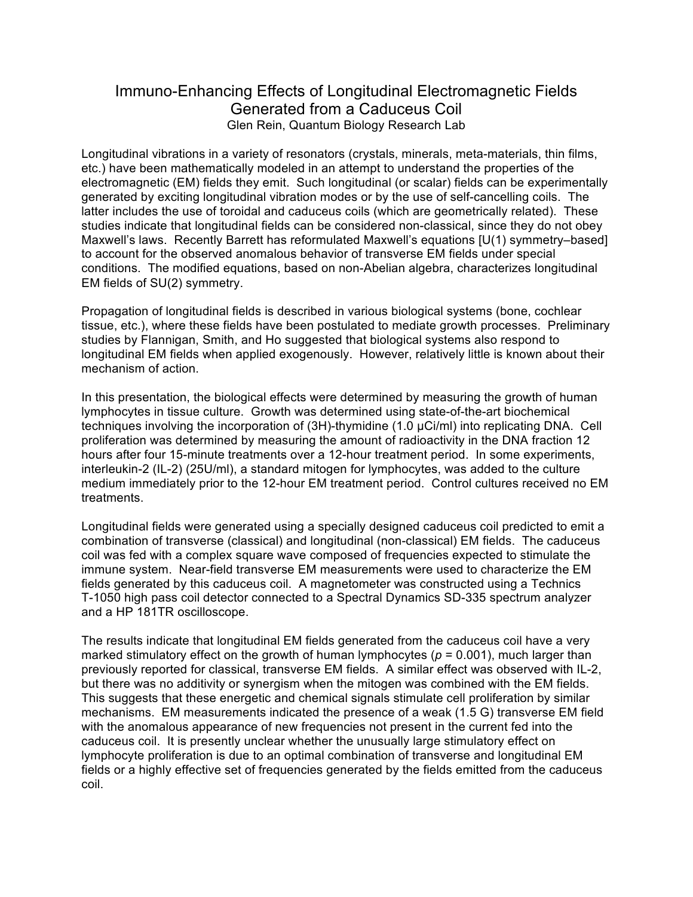# Immuno-Enhancing Effects of Longitudinal Electromagnetic Fields Generated from a Caduceus Coil Glen Rein, Quantum Biology Research Lab

Longitudinal vibrations in a variety of resonators (crystals, minerals, meta-materials, thin films, etc.) have been mathematically modeled in an attempt to understand the properties of the electromagnetic (EM) fields they emit. Such longitudinal (or scalar) fields can be experimentally generated by exciting longitudinal vibration modes or by the use of self-cancelling coils. The latter includes the use of toroidal and caduceus coils (which are geometrically related). These studies indicate that longitudinal fields can be considered non-classical, since they do not obey Maxwell's laws. Recently Barrett has reformulated Maxwell's equations [U(1) symmetry–based] to account for the observed anomalous behavior of transverse EM fields under special conditions. The modified equations, based on non-Abelian algebra, characterizes longitudinal EM fields of SU(2) symmetry.

Propagation of longitudinal fields is described in various biological systems (bone, cochlear tissue, etc.), where these fields have been postulated to mediate growth processes. Preliminary studies by Flannigan, Smith, and Ho suggested that biological systems also respond to longitudinal EM fields when applied exogenously. However, relatively little is known about their mechanism of action.

In this presentation, the biological effects were determined by measuring the growth of human lymphocytes in tissue culture. Growth was determined using state-of-the-art biochemical techniques involving the incorporation of (3H)-thymidine (1.0 µCi/ml) into replicating DNA. Cell proliferation was determined by measuring the amount of radioactivity in the DNA fraction 12 hours after four 15-minute treatments over a 12-hour treatment period. In some experiments, interleukin-2 (IL-2) (25U/ml), a standard mitogen for lymphocytes, was added to the culture medium immediately prior to the 12-hour EM treatment period. Control cultures received no EM treatments.

Longitudinal fields were generated using a specially designed caduceus coil predicted to emit a combination of transverse (classical) and longitudinal (non-classical) EM fields. The caduceus coil was fed with a complex square wave composed of frequencies expected to stimulate the immune system. Near-field transverse EM measurements were used to characterize the EM fields generated by this caduceus coil. A magnetometer was constructed using a Technics T-1050 high pass coil detector connected to a Spectral Dynamics SD-335 spectrum analyzer and a HP 181TR oscilloscope.

The results indicate that longitudinal EM fields generated from the caduceus coil have a very marked stimulatory effect on the growth of human lymphocytes ( $p = 0.001$ ), much larger than previously reported for classical, transverse EM fields. A similar effect was observed with IL-2, but there was no additivity or synergism when the mitogen was combined with the EM fields. This suggests that these energetic and chemical signals stimulate cell proliferation by similar mechanisms. EM measurements indicated the presence of a weak (1.5 G) transverse EM field with the anomalous appearance of new frequencies not present in the current fed into the caduceus coil. It is presently unclear whether the unusually large stimulatory effect on lymphocyte proliferation is due to an optimal combination of transverse and longitudinal EM fields or a highly effective set of frequencies generated by the fields emitted from the caduceus coil.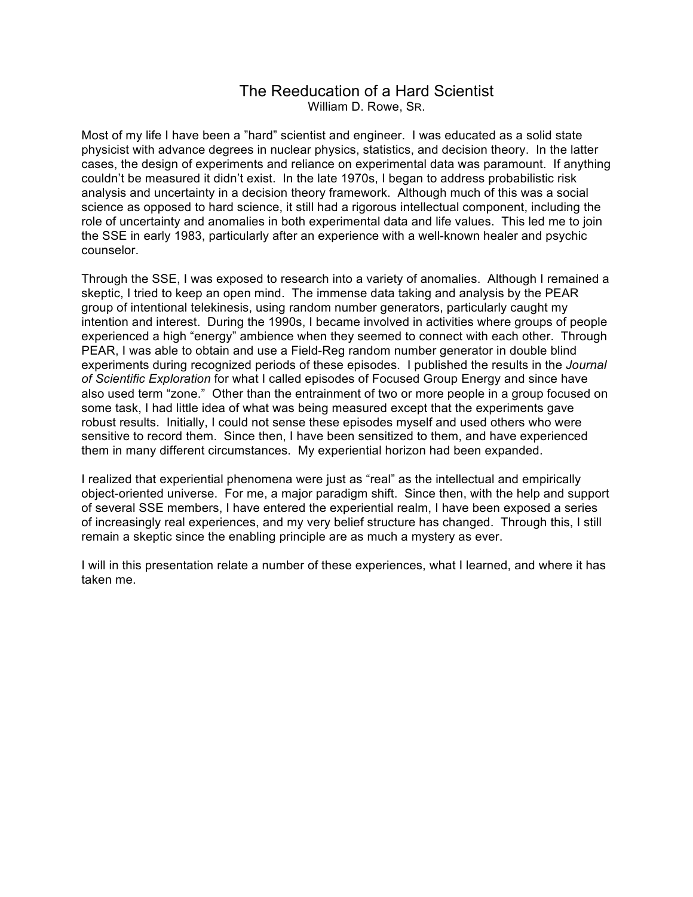## The Reeducation of a Hard Scientist William D. Rowe, SR.

Most of my life I have been a "hard" scientist and engineer. I was educated as a solid state physicist with advance degrees in nuclear physics, statistics, and decision theory. In the latter cases, the design of experiments and reliance on experimental data was paramount. If anything couldn't be measured it didn't exist. In the late 1970s, I began to address probabilistic risk analysis and uncertainty in a decision theory framework. Although much of this was a social science as opposed to hard science, it still had a rigorous intellectual component, including the role of uncertainty and anomalies in both experimental data and life values. This led me to join the SSE in early 1983, particularly after an experience with a well-known healer and psychic counselor.

Through the SSE, I was exposed to research into a variety of anomalies. Although I remained a skeptic, I tried to keep an open mind. The immense data taking and analysis by the PEAR group of intentional telekinesis, using random number generators, particularly caught my intention and interest. During the 1990s, I became involved in activities where groups of people experienced a high "energy" ambience when they seemed to connect with each other. Through PEAR, I was able to obtain and use a Field-Reg random number generator in double blind experiments during recognized periods of these episodes. I published the results in the *Journal of Scientific Exploration* for what I called episodes of Focused Group Energy and since have also used term "zone." Other than the entrainment of two or more people in a group focused on some task, I had little idea of what was being measured except that the experiments gave robust results. Initially, I could not sense these episodes myself and used others who were sensitive to record them. Since then, I have been sensitized to them, and have experienced them in many different circumstances. My experiential horizon had been expanded.

I realized that experiential phenomena were just as "real" as the intellectual and empirically object-oriented universe. For me, a major paradigm shift. Since then, with the help and support of several SSE members, I have entered the experiential realm, I have been exposed a series of increasingly real experiences, and my very belief structure has changed. Through this, I still remain a skeptic since the enabling principle are as much a mystery as ever.

I will in this presentation relate a number of these experiences, what I learned, and where it has taken me.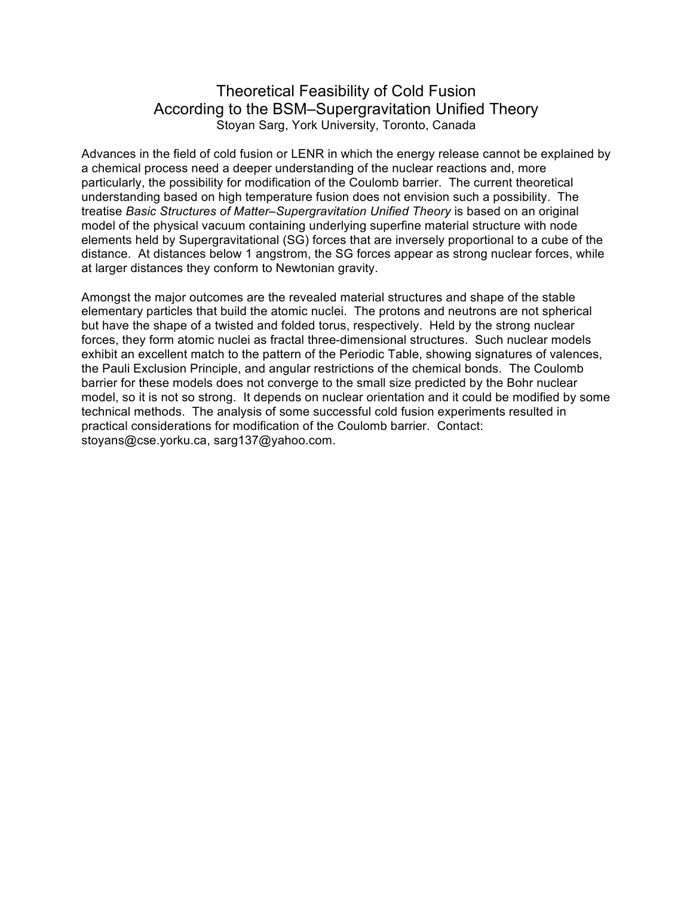# Theoretical Feasibility of Cold Fusion According to the BSM–Supergravitation Unified Theory Stoyan Sarg, York University, Toronto, Canada

Advances in the field of cold fusion or LENR in which the energy release cannot be explained by a chemical process need a deeper understanding of the nuclear reactions and, more particularly, the possibility for modification of the Coulomb barrier. The current theoretical understanding based on high temperature fusion does not envision such a possibility. The treatise *Basic Structures of Matter–Supergravitation Unified Theory* is based on an original model of the physical vacuum containing underlying superfine material structure with node elements held by Supergravitational (SG) forces that are inversely proportional to a cube of the distance. At distances below 1 angstrom, the SG forces appear as strong nuclear forces, while at larger distances they conform to Newtonian gravity.

Amongst the major outcomes are the revealed material structures and shape of the stable elementary particles that build the atomic nuclei. The protons and neutrons are not spherical but have the shape of a twisted and folded torus, respectively. Held by the strong nuclear forces, they form atomic nuclei as fractal three-dimensional structures. Such nuclear models exhibit an excellent match to the pattern of the Periodic Table, showing signatures of valences, the Pauli Exclusion Principle, and angular restrictions of the chemical bonds. The Coulomb barrier for these models does not converge to the small size predicted by the Bohr nuclear model, so it is not so strong. It depends on nuclear orientation and it could be modified by some technical methods. The analysis of some successful cold fusion experiments resulted in practical considerations for modification of the Coulomb barrier. Contact: stoyans@cse.yorku.ca, sarg137@yahoo.com.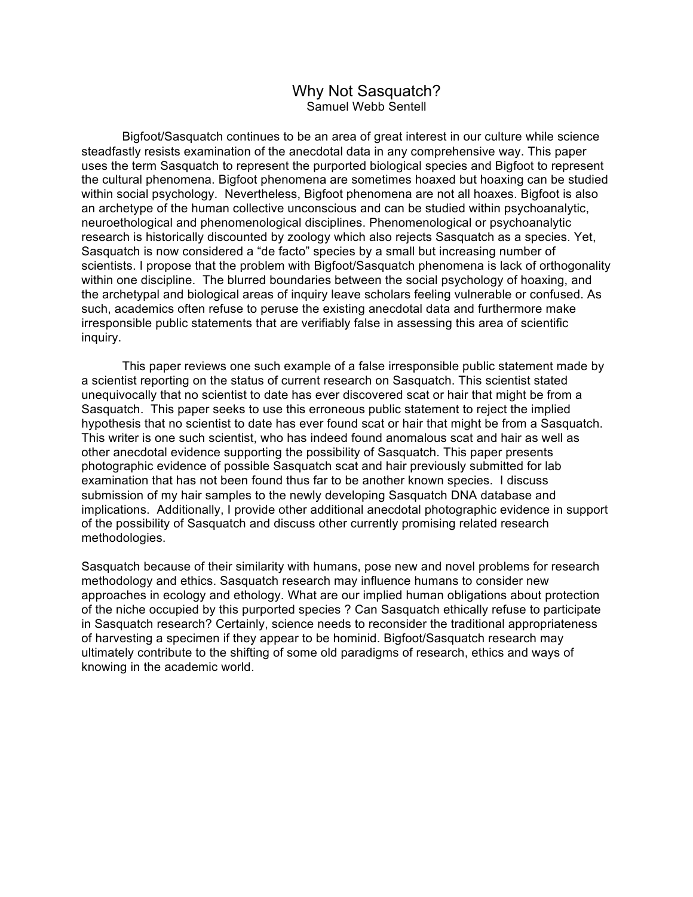### Why Not Sasquatch? Samuel Webb Sentell

Bigfoot/Sasquatch continues to be an area of great interest in our culture while science steadfastly resists examination of the anecdotal data in any comprehensive way. This paper uses the term Sasquatch to represent the purported biological species and Bigfoot to represent the cultural phenomena. Bigfoot phenomena are sometimes hoaxed but hoaxing can be studied within social psychology. Nevertheless, Bigfoot phenomena are not all hoaxes. Bigfoot is also an archetype of the human collective unconscious and can be studied within psychoanalytic, neuroethological and phenomenological disciplines. Phenomenological or psychoanalytic research is historically discounted by zoology which also rejects Sasquatch as a species. Yet, Sasquatch is now considered a "de facto" species by a small but increasing number of scientists. I propose that the problem with Bigfoot/Sasquatch phenomena is lack of orthogonality within one discipline. The blurred boundaries between the social psychology of hoaxing, and the archetypal and biological areas of inquiry leave scholars feeling vulnerable or confused. As such, academics often refuse to peruse the existing anecdotal data and furthermore make irresponsible public statements that are verifiably false in assessing this area of scientific inquiry.

This paper reviews one such example of a false irresponsible public statement made by a scientist reporting on the status of current research on Sasquatch. This scientist stated unequivocally that no scientist to date has ever discovered scat or hair that might be from a Sasquatch. This paper seeks to use this erroneous public statement to reject the implied hypothesis that no scientist to date has ever found scat or hair that might be from a Sasquatch. This writer is one such scientist, who has indeed found anomalous scat and hair as well as other anecdotal evidence supporting the possibility of Sasquatch. This paper presents photographic evidence of possible Sasquatch scat and hair previously submitted for lab examination that has not been found thus far to be another known species. I discuss submission of my hair samples to the newly developing Sasquatch DNA database and implications. Additionally, I provide other additional anecdotal photographic evidence in support of the possibility of Sasquatch and discuss other currently promising related research methodologies.

Sasquatch because of their similarity with humans, pose new and novel problems for research methodology and ethics. Sasquatch research may influence humans to consider new approaches in ecology and ethology. What are our implied human obligations about protection of the niche occupied by this purported species ? Can Sasquatch ethically refuse to participate in Sasquatch research? Certainly, science needs to reconsider the traditional appropriateness of harvesting a specimen if they appear to be hominid. Bigfoot/Sasquatch research may ultimately contribute to the shifting of some old paradigms of research, ethics and ways of knowing in the academic world.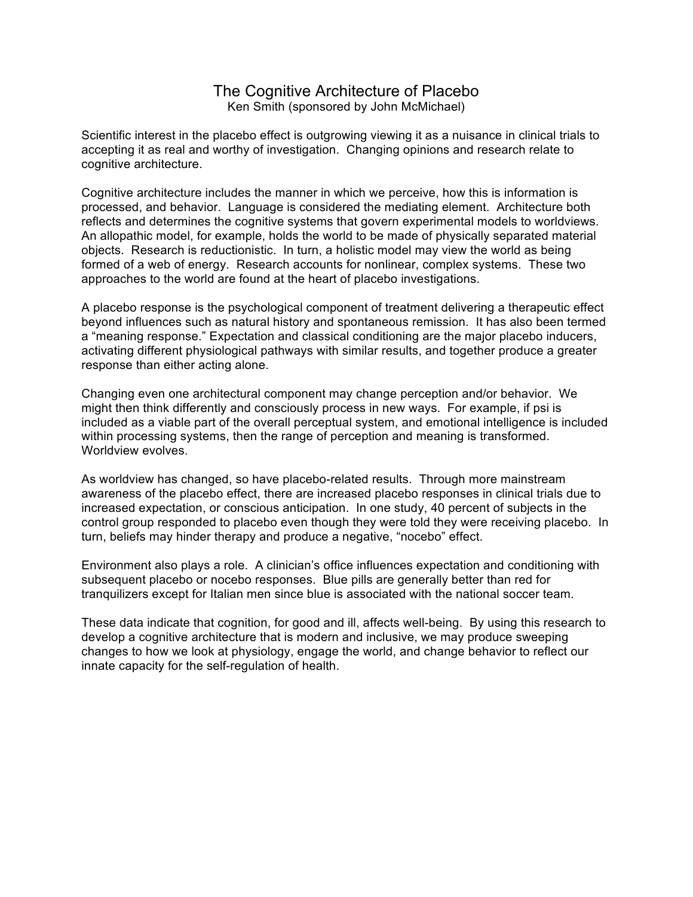### The Cognitive Architecture of Placebo Ken Smith (sponsored by John McMichael)

Scientific interest in the placebo effect is outgrowing viewing it as a nuisance in clinical trials to accepting it as real and worthy of investigation. Changing opinions and research relate to cognitive architecture.

Cognitive architecture includes the manner in which we perceive, how this is information is processed, and behavior. Language is considered the mediating element. Architecture both reflects and determines the cognitive systems that govern experimental models to worldviews. An allopathic model, for example, holds the world to be made of physically separated material objects. Research is reductionistic. In turn, a holistic model may view the world as being formed of a web of energy. Research accounts for nonlinear, complex systems. These two approaches to the world are found at the heart of placebo investigations.

A placebo response is the psychological component of treatment delivering a therapeutic effect beyond influences such as natural history and spontaneous remission. It has also been termed a "meaning response." Expectation and classical conditioning are the major placebo inducers, activating different physiological pathways with similar results, and together produce a greater response than either acting alone.

Changing even one architectural component may change perception and/or behavior. We might then think differently and consciously process in new ways. For example, if psi is included as a viable part of the overall perceptual system, and emotional intelligence is included within processing systems, then the range of perception and meaning is transformed. Worldview evolves.

As worldview has changed, so have placebo-related results. Through more mainstream awareness of the placebo effect, there are increased placebo responses in clinical trials due to increased expectation, or conscious anticipation. In one study, 40 percent of subjects in the control group responded to placebo even though they were told they were receiving placebo. In turn, beliefs may hinder therapy and produce a negative, "nocebo" effect.

Environment also plays a role. A clinician's office influences expectation and conditioning with subsequent placebo or nocebo responses. Blue pills are generally better than red for tranquilizers except for Italian men since blue is associated with the national soccer team.

These data indicate that cognition, for good and ill, affects well-being. By using this research to develop a cognitive architecture that is modern and inclusive, we may produce sweeping changes to how we look at physiology, engage the world, and change behavior to reflect our innate capacity for the self-regulation of health.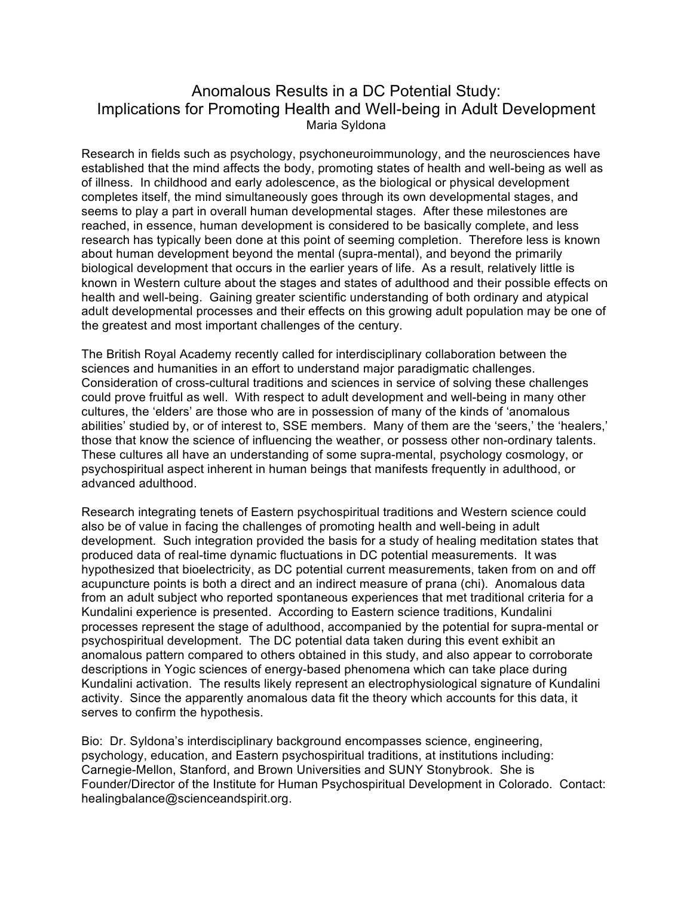# Anomalous Results in a DC Potential Study: Implications for Promoting Health and Well-being in Adult Development Maria Syldona

Research in fields such as psychology, psychoneuroimmunology, and the neurosciences have established that the mind affects the body, promoting states of health and well-being as well as of illness. In childhood and early adolescence, as the biological or physical development completes itself, the mind simultaneously goes through its own developmental stages, and seems to play a part in overall human developmental stages. After these milestones are reached, in essence, human development is considered to be basically complete, and less research has typically been done at this point of seeming completion. Therefore less is known about human development beyond the mental (supra-mental), and beyond the primarily biological development that occurs in the earlier years of life. As a result, relatively little is known in Western culture about the stages and states of adulthood and their possible effects on health and well-being. Gaining greater scientific understanding of both ordinary and atypical adult developmental processes and their effects on this growing adult population may be one of the greatest and most important challenges of the century.

The British Royal Academy recently called for interdisciplinary collaboration between the sciences and humanities in an effort to understand major paradigmatic challenges. Consideration of cross-cultural traditions and sciences in service of solving these challenges could prove fruitful as well. With respect to adult development and well-being in many other cultures, the 'elders' are those who are in possession of many of the kinds of 'anomalous abilities' studied by, or of interest to, SSE members. Many of them are the 'seers,' the 'healers,' those that know the science of influencing the weather, or possess other non-ordinary talents. These cultures all have an understanding of some supra-mental, psychology cosmology, or psychospiritual aspect inherent in human beings that manifests frequently in adulthood, or advanced adulthood.

Research integrating tenets of Eastern psychospiritual traditions and Western science could also be of value in facing the challenges of promoting health and well-being in adult development. Such integration provided the basis for a study of healing meditation states that produced data of real-time dynamic fluctuations in DC potential measurements. It was hypothesized that bioelectricity, as DC potential current measurements, taken from on and off acupuncture points is both a direct and an indirect measure of prana (chi). Anomalous data from an adult subject who reported spontaneous experiences that met traditional criteria for a Kundalini experience is presented. According to Eastern science traditions, Kundalini processes represent the stage of adulthood, accompanied by the potential for supra-mental or psychospiritual development. The DC potential data taken during this event exhibit an anomalous pattern compared to others obtained in this study, and also appear to corroborate descriptions in Yogic sciences of energy-based phenomena which can take place during Kundalini activation. The results likely represent an electrophysiological signature of Kundalini activity. Since the apparently anomalous data fit the theory which accounts for this data, it serves to confirm the hypothesis.

Bio: Dr. Syldona's interdisciplinary background encompasses science, engineering, psychology, education, and Eastern psychospiritual traditions, at institutions including: Carnegie-Mellon, Stanford, and Brown Universities and SUNY Stonybrook. She is Founder/Director of the Institute for Human Psychospiritual Development in Colorado. Contact: healingbalance@scienceandspirit.org.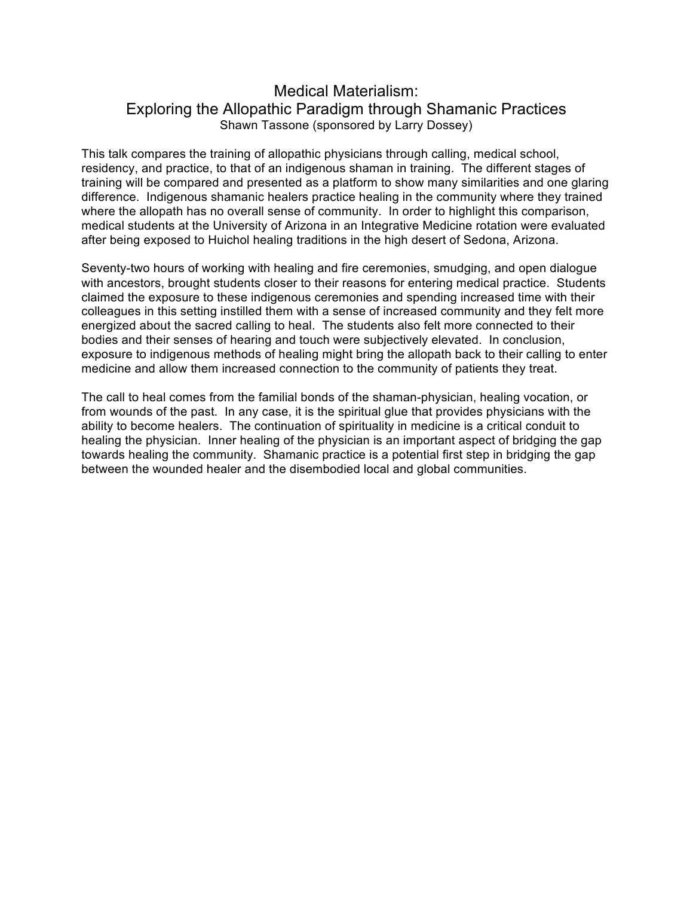# Medical Materialism: Exploring the Allopathic Paradigm through Shamanic Practices Shawn Tassone (sponsored by Larry Dossey)

This talk compares the training of allopathic physicians through calling, medical school, residency, and practice, to that of an indigenous shaman in training. The different stages of training will be compared and presented as a platform to show many similarities and one glaring difference. Indigenous shamanic healers practice healing in the community where they trained where the allopath has no overall sense of community. In order to highlight this comparison, medical students at the University of Arizona in an Integrative Medicine rotation were evaluated after being exposed to Huichol healing traditions in the high desert of Sedona, Arizona.

Seventy-two hours of working with healing and fire ceremonies, smudging, and open dialogue with ancestors, brought students closer to their reasons for entering medical practice. Students claimed the exposure to these indigenous ceremonies and spending increased time with their colleagues in this setting instilled them with a sense of increased community and they felt more energized about the sacred calling to heal. The students also felt more connected to their bodies and their senses of hearing and touch were subjectively elevated. In conclusion, exposure to indigenous methods of healing might bring the allopath back to their calling to enter medicine and allow them increased connection to the community of patients they treat.

The call to heal comes from the familial bonds of the shaman-physician, healing vocation, or from wounds of the past. In any case, it is the spiritual glue that provides physicians with the ability to become healers. The continuation of spirituality in medicine is a critical conduit to healing the physician. Inner healing of the physician is an important aspect of bridging the gap towards healing the community. Shamanic practice is a potential first step in bridging the gap between the wounded healer and the disembodied local and global communities.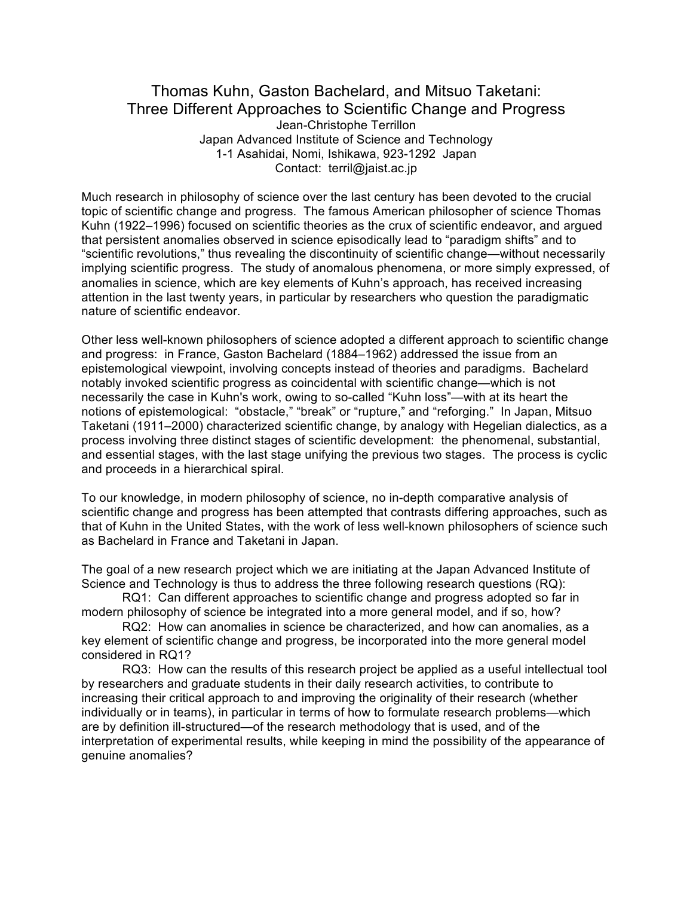### Thomas Kuhn, Gaston Bachelard, and Mitsuo Taketani: Three Different Approaches to Scientific Change and Progress Jean-Christophe Terrillon Japan Advanced Institute of Science and Technology 1-1 Asahidai, Nomi, Ishikawa, 923-1292 Japan Contact: terril@jaist.ac.jp

Much research in philosophy of science over the last century has been devoted to the crucial topic of scientific change and progress. The famous American philosopher of science Thomas Kuhn (1922–1996) focused on scientific theories as the crux of scientific endeavor, and argued that persistent anomalies observed in science episodically lead to "paradigm shifts" and to "scientific revolutions," thus revealing the discontinuity of scientific change—without necessarily implying scientific progress. The study of anomalous phenomena, or more simply expressed, of anomalies in science, which are key elements of Kuhn's approach, has received increasing attention in the last twenty years, in particular by researchers who question the paradigmatic nature of scientific endeavor.

Other less well-known philosophers of science adopted a different approach to scientific change and progress: in France, Gaston Bachelard (1884–1962) addressed the issue from an epistemological viewpoint, involving concepts instead of theories and paradigms. Bachelard notably invoked scientific progress as coincidental with scientific change—which is not necessarily the case in Kuhn's work, owing to so-called "Kuhn loss"—with at its heart the notions of epistemological: "obstacle," "break" or "rupture," and "reforging." In Japan, Mitsuo Taketani (1911–2000) characterized scientific change, by analogy with Hegelian dialectics, as a process involving three distinct stages of scientific development: the phenomenal, substantial, and essential stages, with the last stage unifying the previous two stages. The process is cyclic and proceeds in a hierarchical spiral.

To our knowledge, in modern philosophy of science, no in-depth comparative analysis of scientific change and progress has been attempted that contrasts differing approaches, such as that of Kuhn in the United States, with the work of less well-known philosophers of science such as Bachelard in France and Taketani in Japan.

The goal of a new research project which we are initiating at the Japan Advanced Institute of Science and Technology is thus to address the three following research questions (RQ):

RQ1: Can different approaches to scientific change and progress adopted so far in modern philosophy of science be integrated into a more general model, and if so, how?

RQ2: How can anomalies in science be characterized, and how can anomalies, as a key element of scientific change and progress, be incorporated into the more general model considered in RQ1?

RQ3: How can the results of this research project be applied as a useful intellectual tool by researchers and graduate students in their daily research activities, to contribute to increasing their critical approach to and improving the originality of their research (whether individually or in teams), in particular in terms of how to formulate research problems—which are by definition ill-structured—of the research methodology that is used, and of the interpretation of experimental results, while keeping in mind the possibility of the appearance of genuine anomalies?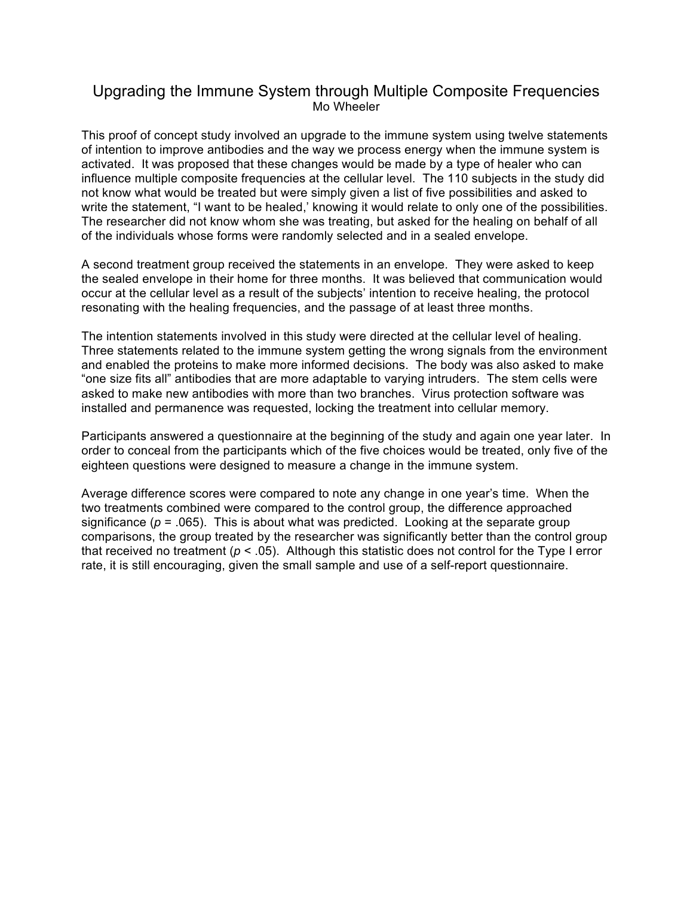## Upgrading the Immune System through Multiple Composite Frequencies Mo Wheeler

This proof of concept study involved an upgrade to the immune system using twelve statements of intention to improve antibodies and the way we process energy when the immune system is activated. It was proposed that these changes would be made by a type of healer who can influence multiple composite frequencies at the cellular level. The 110 subjects in the study did not know what would be treated but were simply given a list of five possibilities and asked to write the statement, "I want to be healed,' knowing it would relate to only one of the possibilities. The researcher did not know whom she was treating, but asked for the healing on behalf of all of the individuals whose forms were randomly selected and in a sealed envelope.

A second treatment group received the statements in an envelope. They were asked to keep the sealed envelope in their home for three months. It was believed that communication would occur at the cellular level as a result of the subjects' intention to receive healing, the protocol resonating with the healing frequencies, and the passage of at least three months.

The intention statements involved in this study were directed at the cellular level of healing. Three statements related to the immune system getting the wrong signals from the environment and enabled the proteins to make more informed decisions. The body was also asked to make "one size fits all" antibodies that are more adaptable to varying intruders. The stem cells were asked to make new antibodies with more than two branches. Virus protection software was installed and permanence was requested, locking the treatment into cellular memory.

Participants answered a questionnaire at the beginning of the study and again one year later. In order to conceal from the participants which of the five choices would be treated, only five of the eighteen questions were designed to measure a change in the immune system.

Average difference scores were compared to note any change in one year's time. When the two treatments combined were compared to the control group, the difference approached significance ( $p = 0.065$ ). This is about what was predicted. Looking at the separate group comparisons, the group treated by the researcher was significantly better than the control group that received no treatment ( $p < .05$ ). Although this statistic does not control for the Type I error rate, it is still encouraging, given the small sample and use of a self-report questionnaire.